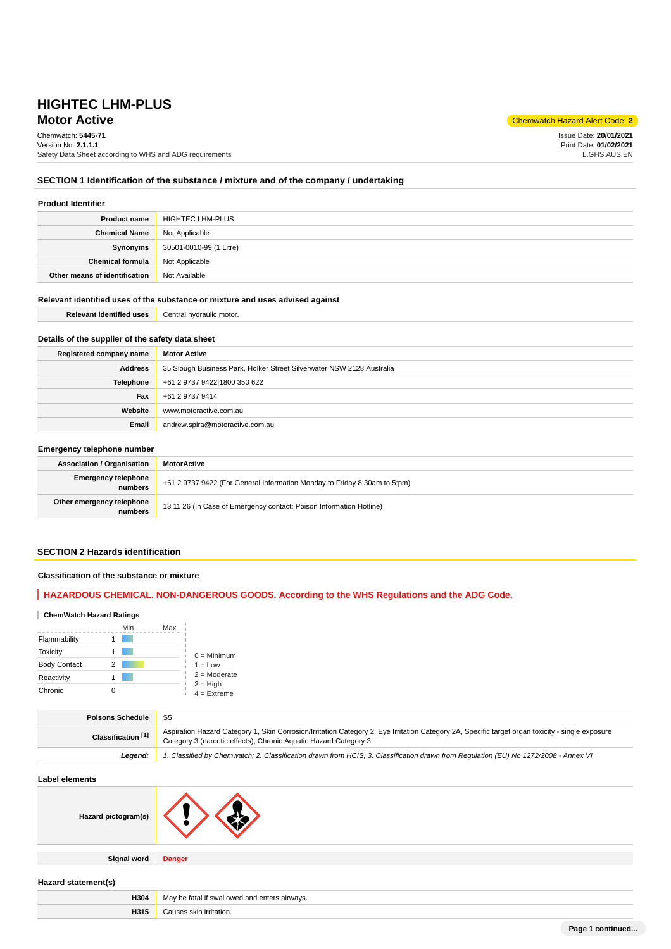# **Motor Active** Chemwatch Hazard Alert Code: 2<sup>2</sup> **HIGHTEC LHM-PLUS**

Chemwatch: **5445-71**

| Chemwatch: 5445-71                                      |  |
|---------------------------------------------------------|--|
| Version No: <b>2.1.1.1</b>                              |  |
| Safety Data Sheet according to WHS and ADG requirements |  |

Issue Date: **20/01/2021** Print Date: **01/02/2021** L.GHS.AUS.EN

### **SECTION 1 Identification of the substance / mixture and of the company / undertaking**

| <b>Product Identifier</b>     |                         |
|-------------------------------|-------------------------|
| <b>Product name</b>           | <b>HIGHTEC LHM-PLUS</b> |
| <b>Chemical Name</b>          | Not Applicable          |
| Synonyms                      | 30501-0010-99 (1 Litre) |
| <b>Chemical formula</b>       | Not Applicable          |
| Other means of identification | Not Available           |

#### **Relevant identified uses of the substance or mixture and uses advised against**

| <b>Relevant identified uses</b> | Central hydraulic motor. |
|---------------------------------|--------------------------|
|                                 |                          |

### **Details of the supplier of the safety data sheet**

| Registered company name | <b>Motor Active</b>                                                   |
|-------------------------|-----------------------------------------------------------------------|
| <b>Address</b>          | 35 Slough Business Park, Holker Street Silverwater NSW 2128 Australia |
| <b>Telephone</b>        | +61 2 9737 9422 1800 350 622                                          |
| Fax                     | +61 2 9737 9414                                                       |
| Website                 | www.motoractive.com.au                                                |
| Email                   | andrew.spira@motoractive.com.au                                       |

#### **Emergency telephone number**

| <b>Association / Organisation</b>     | <b>MotorActive</b>                                                        |
|---------------------------------------|---------------------------------------------------------------------------|
| <b>Emergency telephone</b><br>numbers | +61 2 9737 9422 (For General Information Monday to Friday 8:30am to 5:pm) |
| Other emergency telephone<br>numbers  | 13 11 26 (In Case of Emergency contact: Poison Information Hotline)       |

### **SECTION 2 Hazards identification**

### **Classification of the substance or mixture**

#### **HAZARDOUS CHEMICAL. NON-DANGEROUS GOODS. According to the WHS Regulations and the ADG Code.**

#### **ChemWatch Hazard Ratings**

|                     | Min | Max |                             |
|---------------------|-----|-----|-----------------------------|
| Flammability        |     |     |                             |
| <b>Toxicity</b>     |     |     | $0 =$ Minimum               |
| <b>Body Contact</b> | 2   |     | $1 = Low$                   |
| Reactivity          |     |     | $2 =$ Moderate              |
| Chronic             |     |     | $3 = High$<br>$4 =$ Extreme |

| <b>Poisons Schedule</b> | S5                                                                                                                                                                                                                   |
|-------------------------|----------------------------------------------------------------------------------------------------------------------------------------------------------------------------------------------------------------------|
| Classification [1]      | Aspiration Hazard Category 1, Skin Corrosion/Irritation Category 2, Eye Irritation Category 2A, Specific target organ toxicity - single exposure<br>Category 3 (narcotic effects), Chronic Aquatic Hazard Category 3 |
| Leaend:                 | 1. Classified by Chemwatch; 2. Classification drawn from HCIS; 3. Classification drawn from Requlation (EU) No 1272/2008 - Annex VI                                                                                  |

#### **Label elements**



**Signal word Danger**

### **Hazard statement(s)**

| H304 | enters airways.<br>it ewallowad and<br>*^*^!<br>.√a∨ |
|------|------------------------------------------------------|
| H315 | `tion.                                               |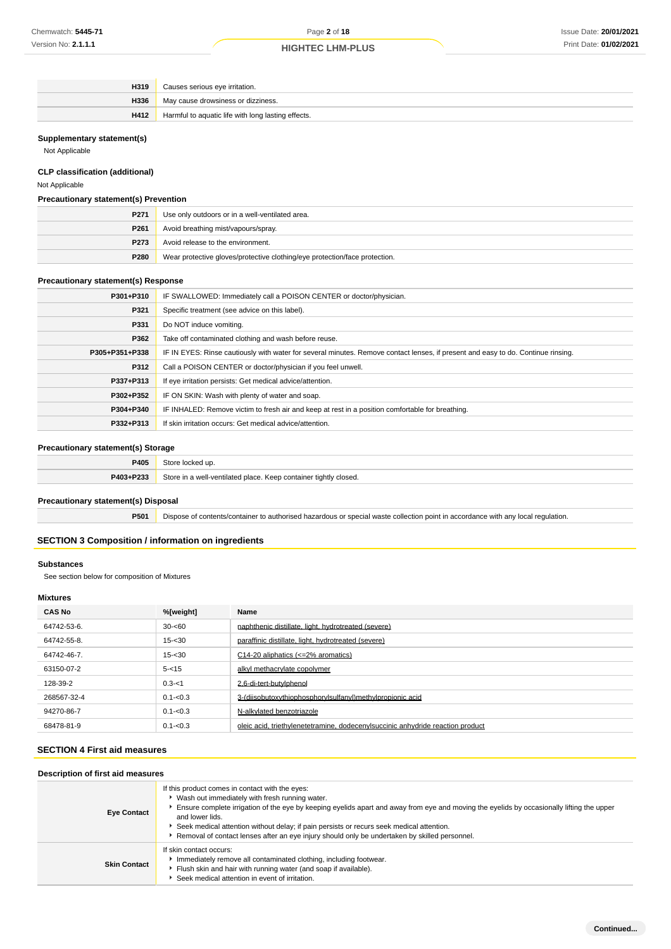| H319 | Causes serious eye irritation.                     |
|------|----------------------------------------------------|
| H336 | May cause drowsiness or dizziness.                 |
| H412 | Harmful to aquatic life with long lasting effects. |

#### **Supplementary statement(s)**

Not Applicable

# **CLP classification (additional)**

Not Applicable

#### **Precautionary statement(s) Prevention**

| P271 | Use only outdoors or in a well-ventilated area.                            |
|------|----------------------------------------------------------------------------|
| P261 | Avoid breathing mist/vapours/spray.                                        |
| P273 | Avoid release to the environment.                                          |
| P280 | Wear protective gloves/protective clothing/eye protection/face protection. |

#### **Precautionary statement(s) Response**

| P301+P310      | IF SWALLOWED: Immediately call a POISON CENTER or doctor/physician.                                                              |
|----------------|----------------------------------------------------------------------------------------------------------------------------------|
| P321           | Specific treatment (see advice on this label).                                                                                   |
| P331           | Do NOT induce vomiting.                                                                                                          |
| P362           | Take off contaminated clothing and wash before reuse.                                                                            |
| P305+P351+P338 | IF IN EYES: Rinse cautiously with water for several minutes. Remove contact lenses, if present and easy to do. Continue rinsing. |
| P312           | Call a POISON CENTER or doctor/physician if you feel unwell.                                                                     |
| P337+P313      | If eye irritation persists: Get medical advice/attention.                                                                        |
| P302+P352      | IF ON SKIN: Wash with plenty of water and soap.                                                                                  |
| P304+P340      | IF INHALED: Remove victim to fresh air and keep at rest in a position comfortable for breathing.                                 |
| P332+P313      | If skin irritation occurs: Get medical advice/attention.                                                                         |
|                |                                                                                                                                  |

### **Precautionary statement(s) Storage**

| P405      | Store<br>ocked up                                                |
|-----------|------------------------------------------------------------------|
| P403+P233 | Store in a well-ventilated place. Keep container tightly closed. |

### **Precautionary statement(s) Disposal**

**P501** Dispose of contents/container to authorised hazardous or special waste collection point in accordance with any local regulation.

### **SECTION 3 Composition / information on ingredients**

#### **Substances**

See section below for composition of Mixtures

### **Mixtures**

| <b>CAS No</b> | %[weight]   | Name                                                                           |
|---------------|-------------|--------------------------------------------------------------------------------|
| 64742-53-6.   | $30 - 60$   | naphthenic distillate. light, hydrotreated (severe)                            |
| 64742-55-8.   | $15 - 30$   | paraffinic distillate, light, hydrotreated (severe)                            |
| 64742-46-7.   | $15 - 30$   | $C14-20$ aliphatics ( $\leq$ =2% aromatics)                                    |
| 63150-07-2    | $5 - 15$    | alkyl methacrylate copolymer                                                   |
| 128-39-2      | $0.3 - 1$   | 2.6-di-tert-butvlphenol                                                        |
| 268567-32-4   | $0.1 - 0.3$ | 3-(diisobutoxythiophosphorylsulfanyl)methylpropionic acid                      |
| 94270-86-7    | $0.1 - 0.3$ | N-alkylated benzotriazole                                                      |
| 68478-81-9    | $0.1 - 0.3$ | oleic acid, triethylenetetramine, dodecenylsuccinic anhydride reaction product |

### **SECTION 4 First aid measures**

#### **Description of first aid measures**

| <b>Eye Contact</b>  | If this product comes in contact with the eyes:<br>▶ Wash out immediately with fresh running water.<br>Ensure complete irrigation of the eye by keeping eyelids apart and away from eye and moving the eyelids by occasionally lifting the upper<br>and lower lids.<br>► Seek medical attention without delay; if pain persists or recurs seek medical attention.<br>Removal of contact lenses after an eye injury should only be undertaken by skilled personnel. |
|---------------------|--------------------------------------------------------------------------------------------------------------------------------------------------------------------------------------------------------------------------------------------------------------------------------------------------------------------------------------------------------------------------------------------------------------------------------------------------------------------|
| <b>Skin Contact</b> | If skin contact occurs:<br>Immediately remove all contaminated clothing, including footwear.<br>Flush skin and hair with running water (and soap if available).<br>Seek medical attention in event of irritation.                                                                                                                                                                                                                                                  |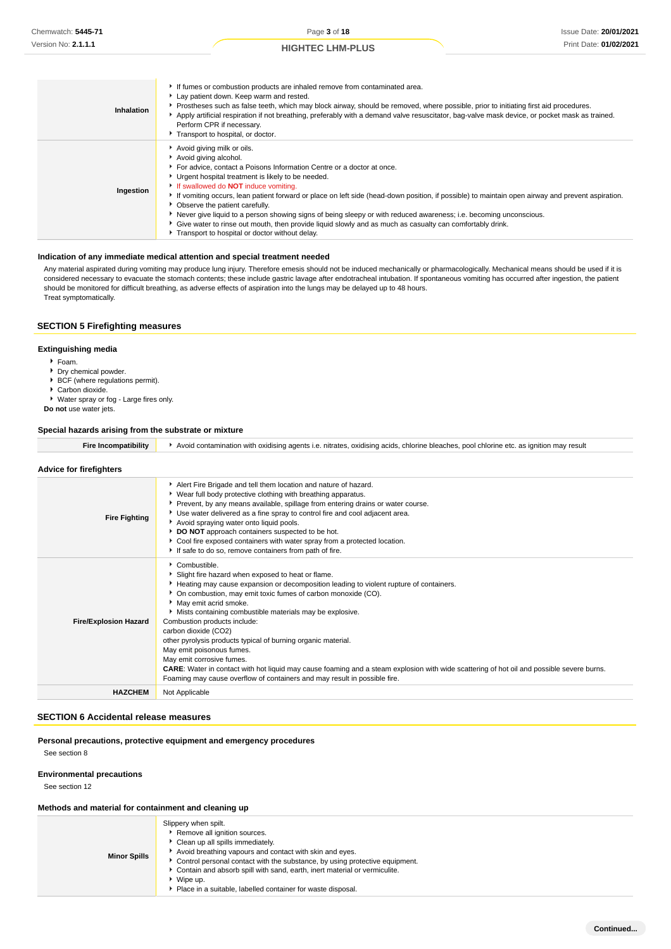| Inhalation | If fumes or combustion products are inhaled remove from contaminated area.<br>Lay patient down. Keep warm and rested.<br>▶ Prostheses such as false teeth, which may block airway, should be removed, where possible, prior to initiating first aid procedures.<br>Apply artificial respiration if not breathing, preferably with a demand valve resuscitator, bag-valve mask device, or pocket mask as trained.<br>Perform CPR if necessary.<br>Transport to hospital, or doctor.                                                                                                                                                                                                                              |
|------------|-----------------------------------------------------------------------------------------------------------------------------------------------------------------------------------------------------------------------------------------------------------------------------------------------------------------------------------------------------------------------------------------------------------------------------------------------------------------------------------------------------------------------------------------------------------------------------------------------------------------------------------------------------------------------------------------------------------------|
| Ingestion  | Avoid giving milk or oils.<br>Avoid giving alcohol.<br>For advice, contact a Poisons Information Centre or a doctor at once.<br>• Urgent hospital treatment is likely to be needed.<br>If swallowed do <b>NOT</b> induce vomiting.<br>If vomiting occurs, lean patient forward or place on left side (head-down position, if possible) to maintain open airway and prevent aspiration.<br>• Observe the patient carefully.<br>Never give liquid to a person showing signs of being sleepy or with reduced awareness; i.e. becoming unconscious.<br>• Give water to rinse out mouth, then provide liquid slowly and as much as casualty can comfortably drink.<br>Transport to hospital or doctor without delay. |

### **Indication of any immediate medical attention and special treatment needed**

Any material aspirated during vomiting may produce lung injury. Therefore emesis should not be induced mechanically or pharmacologically. Mechanical means should be used if it is considered necessary to evacuate the stomach contents; these include gastric lavage after endotracheal intubation. If spontaneous vomiting has occurred after ingestion, the patient should be monitored for difficult breathing, as adverse effects of aspiration into the lungs may be delayed up to 48 hours. Treat symptomatically.

### **SECTION 5 Firefighting measures**

#### **Extinguishing media**

- Foam.
- Dry chemical powder.
- **BCF** (where regulations permit).
- Carbon dioxide. Water spray or fog - Large fires only.
- **Do not** use water jets.

#### **Special hazards arising from the substrate or mixture**

Fire Incompatibility **A** Avoid contamination with oxidising agents i.e. nitrates, oxidising acids, chlorine bleaches, pool chlorine etc. as ignition may result

#### **Advice for firefighters**

| Alert Fire Brigade and tell them location and nature of hazard.<br>▶ Wear full body protective clothing with breathing apparatus.<br>Prevent, by any means available, spillage from entering drains or water course.<br>Use water delivered as a fine spray to control fire and cool adjacent area.<br><b>Fire Fighting</b><br>Avoid spraying water onto liquid pools.<br>DO NOT approach containers suspected to be hot.<br>▶ Cool fire exposed containers with water spray from a protected location.<br>If safe to do so, remove containers from path of fire.                                                                                                                                                                                               |                |  |
|-----------------------------------------------------------------------------------------------------------------------------------------------------------------------------------------------------------------------------------------------------------------------------------------------------------------------------------------------------------------------------------------------------------------------------------------------------------------------------------------------------------------------------------------------------------------------------------------------------------------------------------------------------------------------------------------------------------------------------------------------------------------|----------------|--|
| Combustible.<br>Slight fire hazard when exposed to heat or flame.<br>Heating may cause expansion or decomposition leading to violent rupture of containers.<br>• On combustion, may emit toxic fumes of carbon monoxide (CO).<br>May emit acrid smoke.<br>Mists containing combustible materials may be explosive.<br>Combustion products include:<br><b>Fire/Explosion Hazard</b><br>carbon dioxide (CO2)<br>other pyrolysis products typical of burning organic material.<br>May emit poisonous fumes.<br>May emit corrosive fumes.<br>CARE: Water in contact with hot liquid may cause foaming and a steam explosion with wide scattering of hot oil and possible severe burns.<br>Foaming may cause overflow of containers and may result in possible fire. |                |  |
| <b>HAZCHEM</b>                                                                                                                                                                                                                                                                                                                                                                                                                                                                                                                                                                                                                                                                                                                                                  | Not Applicable |  |

#### **SECTION 6 Accidental release measures**

#### **Personal precautions, protective equipment and emergency procedures**

See section 8

### **Environmental precautions**

See section 12

### **Methods and material for containment and cleaning up**

| <b>Minor Spills</b> | Slippery when spilt.<br>Remove all ignition sources.<br>Clean up all spills immediately.<br>Avoid breathing vapours and contact with skin and eyes.<br>Control personal contact with the substance, by using protective equipment.<br>▶ Contain and absorb spill with sand, earth, inert material or vermiculite.<br>Wipe up.<br>Place in a suitable, labelled container for waste disposal. |
|---------------------|----------------------------------------------------------------------------------------------------------------------------------------------------------------------------------------------------------------------------------------------------------------------------------------------------------------------------------------------------------------------------------------------|
|---------------------|----------------------------------------------------------------------------------------------------------------------------------------------------------------------------------------------------------------------------------------------------------------------------------------------------------------------------------------------------------------------------------------------|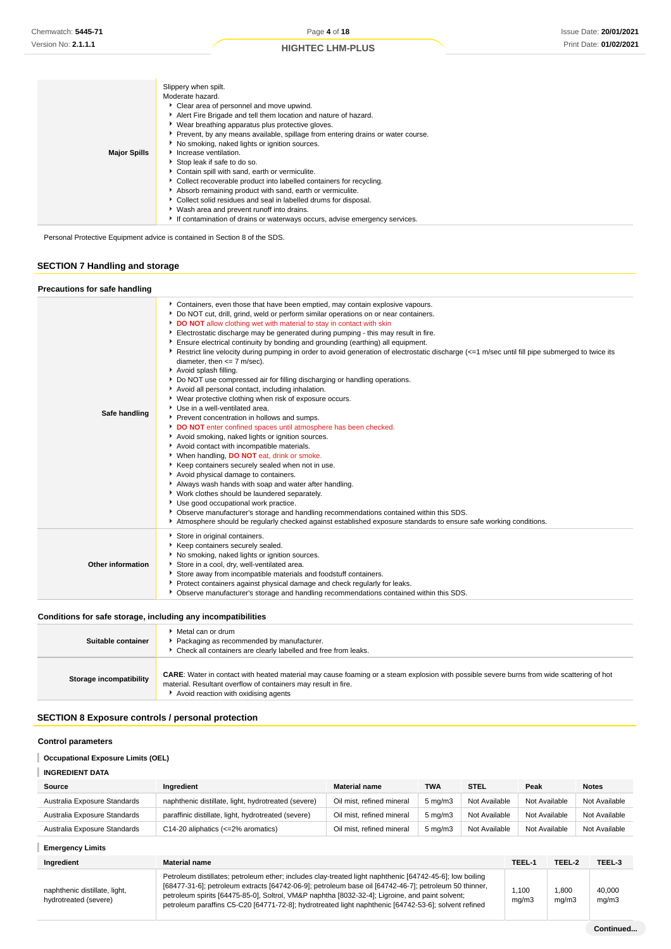|                     | Slippery when spilt.                                                            |
|---------------------|---------------------------------------------------------------------------------|
|                     | Moderate hazard.                                                                |
|                     | • Clear area of personnel and move upwind.                                      |
|                     | Alert Fire Brigade and tell them location and nature of hazard.                 |
|                     | • Wear breathing apparatus plus protective gloves.                              |
|                     | Prevent, by any means available, spillage from entering drains or water course. |
|                     | No smoking, naked lights or ignition sources.                                   |
| <b>Major Spills</b> | Increase ventilation.                                                           |
|                     | Stop leak if safe to do so.                                                     |
|                     | Contain spill with sand, earth or vermiculite.                                  |
|                     | • Collect recoverable product into labelled containers for recycling.           |
|                     | Absorb remaining product with sand, earth or vermiculite.                       |
|                     | Collect solid residues and seal in labelled drums for disposal.                 |
|                     | • Wash area and prevent runoff into drains.                                     |
|                     | If contamination of drains or waterways occurs, advise emergency services.      |

Personal Protective Equipment advice is contained in Section 8 of the SDS.

### **SECTION 7 Handling and storage**

### **Precautions for safe handling**

| Safe handling     | Containers, even those that have been emptied, may contain explosive vapours.<br>Do NOT cut, drill, grind, weld or perform similar operations on or near containers.<br>DO NOT allow clothing wet with material to stay in contact with skin<br>Electrostatic discharge may be generated during pumping - this may result in fire.<br>Ensure electrical continuity by bonding and grounding (earthing) all equipment.<br>Restrict line velocity during pumping in order to avoid generation of electrostatic discharge (<=1 m/sec until fill pipe submerged to twice its<br>diameter, then $\leq$ 7 m/sec).<br>Avoid splash filling.<br>▶ Do NOT use compressed air for filling discharging or handling operations.<br>Avoid all personal contact, including inhalation.<br>▶ Wear protective clothing when risk of exposure occurs.<br>Use in a well-ventilated area.<br>Prevent concentration in hollows and sumps.<br>DO NOT enter confined spaces until atmosphere has been checked.<br>Avoid smoking, naked lights or ignition sources.<br>Avoid contact with incompatible materials.<br>▶ When handling, DO NOT eat, drink or smoke.<br>Keep containers securely sealed when not in use.<br>Avoid physical damage to containers.<br>Always wash hands with soap and water after handling.<br>▶ Work clothes should be laundered separately.<br>Use good occupational work practice.<br>▶ Observe manufacturer's storage and handling recommendations contained within this SDS.<br>Atmosphere should be regularly checked against established exposure standards to ensure safe working conditions. |
|-------------------|-----------------------------------------------------------------------------------------------------------------------------------------------------------------------------------------------------------------------------------------------------------------------------------------------------------------------------------------------------------------------------------------------------------------------------------------------------------------------------------------------------------------------------------------------------------------------------------------------------------------------------------------------------------------------------------------------------------------------------------------------------------------------------------------------------------------------------------------------------------------------------------------------------------------------------------------------------------------------------------------------------------------------------------------------------------------------------------------------------------------------------------------------------------------------------------------------------------------------------------------------------------------------------------------------------------------------------------------------------------------------------------------------------------------------------------------------------------------------------------------------------------------------------------------------------------------------------------------------------------|
| Other information | Store in original containers.<br>Keep containers securely sealed.<br>No smoking, naked lights or ignition sources.<br>Store in a cool, dry, well-ventilated area.<br>Store away from incompatible materials and foodstuff containers.<br>Protect containers against physical damage and check regularly for leaks.<br>▶ Observe manufacturer's storage and handling recommendations contained within this SDS.                                                                                                                                                                                                                                                                                                                                                                                                                                                                                                                                                                                                                                                                                                                                                                                                                                                                                                                                                                                                                                                                                                                                                                                            |

### **Conditions for safe storage, including any incompatibilities**

| Suitable container      | • Metal can or drum<br>Packaging as recommended by manufacturer.<br>• Check all containers are clearly labelled and free from leaks.                                                                                                                       |
|-------------------------|------------------------------------------------------------------------------------------------------------------------------------------------------------------------------------------------------------------------------------------------------------|
| Storage incompatibility | <b>CARE:</b> Water in contact with heated material may cause foaming or a steam explosion with possible severe burns from wide scattering of hot<br>material. Resultant overflow of containers may result in fire.<br>Avoid reaction with oxidising agents |

### **SECTION 8 Exposure controls / personal protection**

### **Control parameters**

### **Occupational Exposure Limits (OEL)**

**INGREDIENT DATA**

| Source                       | Ingredient                                          | <b>Material name</b>      | <b>TWA</b>         | <b>STEL</b>   | Peak          | <b>Notes</b>  |
|------------------------------|-----------------------------------------------------|---------------------------|--------------------|---------------|---------------|---------------|
| Australia Exposure Standards | naphthenic distillate, light, hydrotreated (severe) | Oil mist, refined mineral | $5 \text{ ma/m}$ 3 | Not Available | Not Available | Not Available |
| Australia Exposure Standards | paraffinic distillate, light, hydrotreated (severe) | Oil mist, refined mineral | $5 \text{ ma/m}$ 3 | Not Available | Not Available | Not Available |
| Australia Exposure Standards | C14-20 aliphatics (<=2% aromatics)                  | Oil mist, refined mineral | $5 \text{ ma/m}$ 3 | Not Available | Not Available | Not Available |

**Emergency Limits**

| Ingredient                                             | <b>Material name</b>                                                                                                                                                                                                                                                                                                                                                                                                         | TEEL-1        | TEEL-2        | TEEL-3          |
|--------------------------------------------------------|------------------------------------------------------------------------------------------------------------------------------------------------------------------------------------------------------------------------------------------------------------------------------------------------------------------------------------------------------------------------------------------------------------------------------|---------------|---------------|-----------------|
| naphthenic distillate, light,<br>hydrotreated (severe) | Petroleum distillates; petroleum ether; includes clay-treated light naphthenic [64742-45-6]; low boiling<br>[68477-31-6]; petroleum extracts [64742-06-9]; petroleum base oil [64742-46-7]; petroleum 50 thinner,<br>petroleum spirits [64475-85-0], Soltrol, VM&P naphtha [8032-32-4]; Ligroine, and paint solvent;<br>petroleum paraffins C5-C20 [64771-72-8]; hydrotreated light naphthenic [64742-53-6]; solvent refined | .100<br>mq/m3 | .800<br>mq/m3 | 40.000<br>mg/m3 |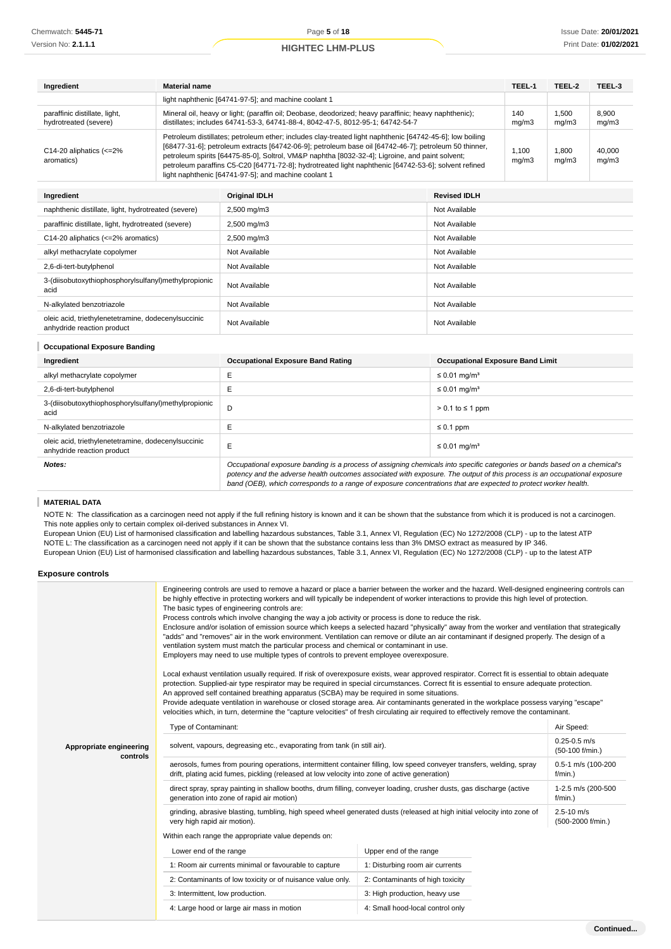| Ingredient                                               | <b>Material name</b>                                                                                                                                                                                                                                                                                                                                                                                                                                                                 |                | TEEL-2         | TEEL-3          |
|----------------------------------------------------------|--------------------------------------------------------------------------------------------------------------------------------------------------------------------------------------------------------------------------------------------------------------------------------------------------------------------------------------------------------------------------------------------------------------------------------------------------------------------------------------|----------------|----------------|-----------------|
|                                                          | light naphthenic [64741-97-5]; and machine coolant 1                                                                                                                                                                                                                                                                                                                                                                                                                                 |                |                |                 |
| paraffinic distillate, light,<br>hydrotreated (severe)   | Mineral oil, heavy or light; (paraffin oil; Deobase, deodorized; heavy paraffinic; heavy naphthenic);<br>distillates; includes 64741-53-3, 64741-88-4, 8042-47-5, 8012-95-1; 64742-54-7                                                                                                                                                                                                                                                                                              |                | 1.500<br>mq/m3 | 8.900<br>mq/m3  |
| C14-20 aliphatics $\left  \right  < = 2\%$<br>aromatics) | Petroleum distillates; petroleum ether; includes clay-treated light naphthenic [64742-45-6]; low boiling<br>[68477-31-6]; petroleum extracts [64742-06-9]; petroleum base oil [64742-46-7]; petroleum 50 thinner,<br>petroleum spirits [64475-85-0], Soltrol, VM&P naphtha [8032-32-4]; Ligroine, and paint solvent;<br>petroleum paraffins C5-C20 [64771-72-8]; hydrotreated light naphthenic [64742-53-6]; solvent refined<br>light naphthenic [64741-97-5]; and machine coolant 1 | 1.100<br>mq/m3 | 1.800<br>mq/m3 | 40.000<br>mq/m3 |

| Ingredient                                                                        | <b>Original IDLH</b>    | <b>Revised IDLH</b> |
|-----------------------------------------------------------------------------------|-------------------------|---------------------|
| naphthenic distillate, light, hydrotreated (severe)                               | $2,500 \,\mathrm{mg/m}$ | Not Available       |
| paraffinic distillate, light, hydrotreated (severe)                               | $2,500 \,\mathrm{mg/m}$ | Not Available       |
| C14-20 aliphatics (<=2% aromatics)                                                | $2,500 \,\mathrm{mg/m}$ | Not Available       |
| alkyl methacrylate copolymer                                                      | Not Available           | Not Available       |
| 2,6-di-tert-butylphenol                                                           | Not Available           | Not Available       |
| 3-(diisobutoxythiophosphorylsulfanyl)methylpropionic<br>acid                      | Not Available           | Not Available       |
| N-alkylated benzotriazole                                                         | Not Available           | Not Available       |
| oleic acid, triethylenetetramine, dodecenylsuccinic<br>anhydride reaction product | Not Available           | Not Available       |

### **Occupational Exposure Banding**

| Ingredient                                                                        | <b>Occupational Exposure Band Rating</b>                                                                                  | <b>Occupational Exposure Band Limit</b> |
|-----------------------------------------------------------------------------------|---------------------------------------------------------------------------------------------------------------------------|-----------------------------------------|
| alkyl methacrylate copolymer                                                      |                                                                                                                           | $\leq$ 0.01 mg/m <sup>3</sup>           |
| 2,6-di-tert-butylphenol                                                           |                                                                                                                           | $\leq$ 0.01 mg/m <sup>3</sup>           |
| 3-(diisobutoxythiophosphorylsulfanyl)methylpropionic<br>acid                      | D                                                                                                                         | $> 0.1$ to $\leq 1$ ppm                 |
| N-alkylated benzotriazole                                                         |                                                                                                                           | $\leq 0.1$ ppm                          |
| oleic acid, triethylenetetramine, dodecenylsuccinic<br>anhydride reaction product | Е                                                                                                                         | $\leq$ 0.01 mg/m <sup>3</sup>           |
| Notes:                                                                            | Occupational exposure banding is a process of assigning chemicals into specific categories or bands based on a chemical's |                                         |

potency and the adverse health outcomes associated with exposure. The output of this process is an occupational exposure band (OEB), which corresponds to a range of exposure concentrations that are expected to protect worker health.

#### T **MATERIAL DATA**

NOTE N: The classification as a carcinogen need not apply if the full refining history is known and it can be shown that the substance from which it is produced is not a carcinogen. This note applies only to certain complex oil-derived substances in Annex VI.

European Union (EU) List of harmonised classification and labelling hazardous substances, Table 3.1, Annex VI, Regulation (EC) No 1272/2008 (CLP) - up to the latest ATP NOTE L: The classification as a carcinogen need not apply if it can be shown that the substance contains less than 3% DMSO extract as measured by IP 346. European Union (EU) List of harmonised classification and labelling hazardous substances, Table 3.1, Annex VI, Regulation (EC) No 1272/2008 (CLP) - up to the latest ATP

#### **Exposure controls**

|                                     | Engineering controls are used to remove a hazard or place a barrier between the worker and the hazard. Well-designed engineering controls can<br>be highly effective in protecting workers and will typically be independent of worker interactions to provide this high level of protection.<br>The basic types of engineering controls are:<br>Process controls which involve changing the way a job activity or process is done to reduce the risk.<br>Enclosure and/or isolation of emission source which keeps a selected hazard "physically" away from the worker and ventilation that strategically<br>"adds" and "removes" air in the work environment. Ventilation can remove or dilute an air contaminant if designed properly. The design of a<br>ventilation system must match the particular process and chemical or contaminant in use.<br>Employers may need to use multiple types of controls to prevent employee overexposure.<br>Local exhaust ventilation usually required. If risk of overexposure exists, wear approved respirator. Correct fit is essential to obtain adequate<br>protection. Supplied-air type respirator may be required in special circumstances. Correct fit is essential to ensure adequate protection.<br>An approved self contained breathing apparatus (SCBA) may be required in some situations.<br>Provide adequate ventilation in warehouse or closed storage area. Air contaminants generated in the workplace possess varying "escape"<br>velocities which, in turn, determine the "capture velocities" of fresh circulating air required to effectively remove the contaminant. |                                     |  |  |
|-------------------------------------|-------------------------------------------------------------------------------------------------------------------------------------------------------------------------------------------------------------------------------------------------------------------------------------------------------------------------------------------------------------------------------------------------------------------------------------------------------------------------------------------------------------------------------------------------------------------------------------------------------------------------------------------------------------------------------------------------------------------------------------------------------------------------------------------------------------------------------------------------------------------------------------------------------------------------------------------------------------------------------------------------------------------------------------------------------------------------------------------------------------------------------------------------------------------------------------------------------------------------------------------------------------------------------------------------------------------------------------------------------------------------------------------------------------------------------------------------------------------------------------------------------------------------------------------------------------------------------------------------------------------------------------|-------------------------------------|--|--|
|                                     | Type of Contaminant:                                                                                                                                                                                                                                                                                                                                                                                                                                                                                                                                                                                                                                                                                                                                                                                                                                                                                                                                                                                                                                                                                                                                                                                                                                                                                                                                                                                                                                                                                                                                                                                                                | Air Speed:                          |  |  |
| Appropriate engineering<br>controls | solvent, vapours, degreasing etc., evaporating from tank (in still air).                                                                                                                                                                                                                                                                                                                                                                                                                                                                                                                                                                                                                                                                                                                                                                                                                                                                                                                                                                                                                                                                                                                                                                                                                                                                                                                                                                                                                                                                                                                                                            | $0.25 - 0.5$ m/s<br>(50-100 f/min.) |  |  |
|                                     | aerosols, fumes from pouring operations, intermittent container filling, low speed conveyer transfers, welding, spray<br>drift, plating acid fumes, pickling (released at low velocity into zone of active generation)                                                                                                                                                                                                                                                                                                                                                                                                                                                                                                                                                                                                                                                                                                                                                                                                                                                                                                                                                                                                                                                                                                                                                                                                                                                                                                                                                                                                              | 0.5-1 m/s (100-200<br>$f/min.$ )    |  |  |
|                                     | direct spray, spray painting in shallow booths, drum filling, conveyer loading, crusher dusts, gas discharge (active<br>generation into zone of rapid air motion)                                                                                                                                                                                                                                                                                                                                                                                                                                                                                                                                                                                                                                                                                                                                                                                                                                                                                                                                                                                                                                                                                                                                                                                                                                                                                                                                                                                                                                                                   | 1-2.5 m/s (200-500<br>$f/min.$ )    |  |  |
|                                     | grinding, abrasive blasting, tumbling, high speed wheel generated dusts (released at high initial velocity into zone of<br>very high rapid air motion).                                                                                                                                                                                                                                                                                                                                                                                                                                                                                                                                                                                                                                                                                                                                                                                                                                                                                                                                                                                                                                                                                                                                                                                                                                                                                                                                                                                                                                                                             | $2.5 - 10$ m/s<br>(500-2000 f/min.) |  |  |
|                                     | Within each range the appropriate value depends on:                                                                                                                                                                                                                                                                                                                                                                                                                                                                                                                                                                                                                                                                                                                                                                                                                                                                                                                                                                                                                                                                                                                                                                                                                                                                                                                                                                                                                                                                                                                                                                                 |                                     |  |  |
|                                     | Lower end of the range                                                                                                                                                                                                                                                                                                                                                                                                                                                                                                                                                                                                                                                                                                                                                                                                                                                                                                                                                                                                                                                                                                                                                                                                                                                                                                                                                                                                                                                                                                                                                                                                              | Upper end of the range              |  |  |
|                                     | 1: Room air currents minimal or favourable to capture                                                                                                                                                                                                                                                                                                                                                                                                                                                                                                                                                                                                                                                                                                                                                                                                                                                                                                                                                                                                                                                                                                                                                                                                                                                                                                                                                                                                                                                                                                                                                                               | 1: Disturbing room air currents     |  |  |
|                                     | 2: Contaminants of low toxicity or of nuisance value only.                                                                                                                                                                                                                                                                                                                                                                                                                                                                                                                                                                                                                                                                                                                                                                                                                                                                                                                                                                                                                                                                                                                                                                                                                                                                                                                                                                                                                                                                                                                                                                          | 2: Contaminants of high toxicity    |  |  |
|                                     | 3: Intermittent, low production.                                                                                                                                                                                                                                                                                                                                                                                                                                                                                                                                                                                                                                                                                                                                                                                                                                                                                                                                                                                                                                                                                                                                                                                                                                                                                                                                                                                                                                                                                                                                                                                                    | 3: High production, heavy use       |  |  |
|                                     | 4: Large hood or large air mass in motion                                                                                                                                                                                                                                                                                                                                                                                                                                                                                                                                                                                                                                                                                                                                                                                                                                                                                                                                                                                                                                                                                                                                                                                                                                                                                                                                                                                                                                                                                                                                                                                           | 4: Small hood-local control only    |  |  |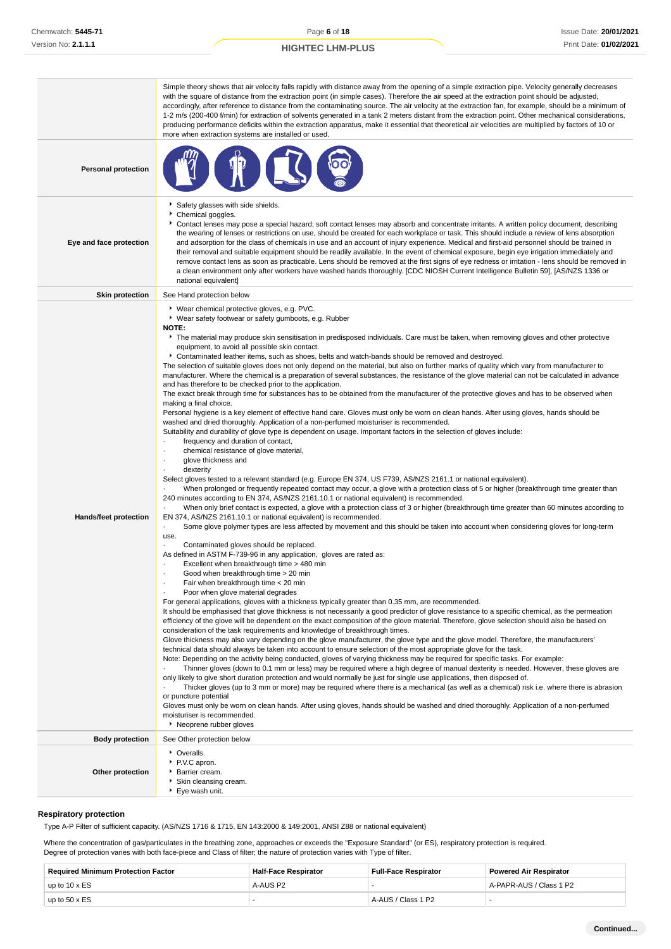|                              | Simple theory shows that air velocity falls rapidly with distance away from the opening of a simple extraction pipe. Velocity generally decreases<br>with the square of distance from the extraction point (in simple cases). Therefore the air speed at the extraction point should be adjusted,<br>accordingly, after reference to distance from the contaminating source. The air velocity at the extraction fan, for example, should be a minimum of<br>1-2 m/s (200-400 f/min) for extraction of solvents generated in a tank 2 meters distant from the extraction point. Other mechanical considerations,<br>producing performance deficits within the extraction apparatus, make it essential that theoretical air velocities are multiplied by factors of 10 or<br>more when extraction systems are installed or used.                                                                                                                                                                                                                                                                                                                                                                                                                                                                                                                                                                                                                                                                                                                                                                                                                                                                                                                                                                                                                                                                                                                                                                                                                                                                                                                                                                                                                                                                                                                                                                                                                                                                                                                                                                                                                                                                                                                                                                                                                                                                                                                                                                                                                                                                                                                                                                                                                                                                                                                                                                                                                                                                                                                                                                                                                                                                                                                                                                                                                                                                                                                                                                                                                      |
|------------------------------|-----------------------------------------------------------------------------------------------------------------------------------------------------------------------------------------------------------------------------------------------------------------------------------------------------------------------------------------------------------------------------------------------------------------------------------------------------------------------------------------------------------------------------------------------------------------------------------------------------------------------------------------------------------------------------------------------------------------------------------------------------------------------------------------------------------------------------------------------------------------------------------------------------------------------------------------------------------------------------------------------------------------------------------------------------------------------------------------------------------------------------------------------------------------------------------------------------------------------------------------------------------------------------------------------------------------------------------------------------------------------------------------------------------------------------------------------------------------------------------------------------------------------------------------------------------------------------------------------------------------------------------------------------------------------------------------------------------------------------------------------------------------------------------------------------------------------------------------------------------------------------------------------------------------------------------------------------------------------------------------------------------------------------------------------------------------------------------------------------------------------------------------------------------------------------------------------------------------------------------------------------------------------------------------------------------------------------------------------------------------------------------------------------------------------------------------------------------------------------------------------------------------------------------------------------------------------------------------------------------------------------------------------------------------------------------------------------------------------------------------------------------------------------------------------------------------------------------------------------------------------------------------------------------------------------------------------------------------------------------------------------------------------------------------------------------------------------------------------------------------------------------------------------------------------------------------------------------------------------------------------------------------------------------------------------------------------------------------------------------------------------------------------------------------------------------------------------------------------------------------------------------------------------------------------------------------------------------------------------------------------------------------------------------------------------------------------------------------------------------------------------------------------------------------------------------------------------------------------------------------------------------------------------------------------------------------------------------------------------------------------------------------------------------------------------|
| <b>Personal protection</b>   |                                                                                                                                                                                                                                                                                                                                                                                                                                                                                                                                                                                                                                                                                                                                                                                                                                                                                                                                                                                                                                                                                                                                                                                                                                                                                                                                                                                                                                                                                                                                                                                                                                                                                                                                                                                                                                                                                                                                                                                                                                                                                                                                                                                                                                                                                                                                                                                                                                                                                                                                                                                                                                                                                                                                                                                                                                                                                                                                                                                                                                                                                                                                                                                                                                                                                                                                                                                                                                                                                                                                                                                                                                                                                                                                                                                                                                                                                                                                                                                                                                                     |
| Eye and face protection      | Safety glasses with side shields.<br>Chemical goggles.<br>Contact lenses may pose a special hazard; soft contact lenses may absorb and concentrate irritants. A written policy document, describing<br>the wearing of lenses or restrictions on use, should be created for each workplace or task. This should include a review of lens absorption<br>and adsorption for the class of chemicals in use and an account of injury experience. Medical and first-aid personnel should be trained in<br>their removal and suitable equipment should be readily available. In the event of chemical exposure, begin eye irrigation immediately and<br>remove contact lens as soon as practicable. Lens should be removed at the first signs of eye redness or irritation - lens should be removed in<br>a clean environment only after workers have washed hands thoroughly. [CDC NIOSH Current Intelligence Bulletin 59], [AS/NZS 1336 or<br>national equivalent]                                                                                                                                                                                                                                                                                                                                                                                                                                                                                                                                                                                                                                                                                                                                                                                                                                                                                                                                                                                                                                                                                                                                                                                                                                                                                                                                                                                                                                                                                                                                                                                                                                                                                                                                                                                                                                                                                                                                                                                                                                                                                                                                                                                                                                                                                                                                                                                                                                                                                                                                                                                                                                                                                                                                                                                                                                                                                                                                                                                                                                                                                       |
| <b>Skin protection</b>       | See Hand protection below                                                                                                                                                                                                                                                                                                                                                                                                                                                                                                                                                                                                                                                                                                                                                                                                                                                                                                                                                                                                                                                                                                                                                                                                                                                                                                                                                                                                                                                                                                                                                                                                                                                                                                                                                                                                                                                                                                                                                                                                                                                                                                                                                                                                                                                                                                                                                                                                                                                                                                                                                                                                                                                                                                                                                                                                                                                                                                                                                                                                                                                                                                                                                                                                                                                                                                                                                                                                                                                                                                                                                                                                                                                                                                                                                                                                                                                                                                                                                                                                                           |
| <b>Hands/feet protection</b> | ▶ Wear chemical protective gloves, e.g. PVC.<br>▶ Wear safety footwear or safety gumboots, e.g. Rubber<br>NOTE:<br>▶ The material may produce skin sensitisation in predisposed individuals. Care must be taken, when removing gloves and other protective<br>equipment, to avoid all possible skin contact.<br>Contaminated leather items, such as shoes, belts and watch-bands should be removed and destroyed.<br>The selection of suitable gloves does not only depend on the material, but also on further marks of quality which vary from manufacturer to<br>manufacturer. Where the chemical is a preparation of several substances, the resistance of the glove material can not be calculated in advance<br>and has therefore to be checked prior to the application.<br>The exact break through time for substances has to be obtained from the manufacturer of the protective gloves and has to be observed when<br>making a final choice.<br>Personal hygiene is a key element of effective hand care. Gloves must only be worn on clean hands. After using gloves, hands should be<br>washed and dried thoroughly. Application of a non-perfumed moisturiser is recommended.<br>Suitability and durability of glove type is dependent on usage. Important factors in the selection of gloves include:<br>frequency and duration of contact,<br>$\cdot$<br>chemical resistance of glove material,<br>٠<br>glove thickness and<br>$\cdot$<br>dexterity<br>٠<br>Select gloves tested to a relevant standard (e.g. Europe EN 374, US F739, AS/NZS 2161.1 or national equivalent).<br>When prolonged or frequently repeated contact may occur, a glove with a protection class of 5 or higher (breakthrough time greater than<br>240 minutes according to EN 374, AS/NZS 2161.10.1 or national equivalent) is recommended.<br>When only brief contact is expected, a glove with a protection class of 3 or higher (breakthrough time greater than 60 minutes according to<br>EN 374, AS/NZS 2161.10.1 or national equivalent) is recommended.<br>Some glove polymer types are less affected by movement and this should be taken into account when considering gloves for long-term<br>$\cdot$<br>use.<br>Contaminated gloves should be replaced.<br>As defined in ASTM F-739-96 in any application, gloves are rated as:<br>Excellent when breakthrough time > 480 min<br>Good when breakthrough time > 20 min<br>$\cdot$<br>Fair when breakthrough time < 20 min<br>Poor when glove material degrades<br>For general applications, gloves with a thickness typically greater than 0.35 mm, are recommended.<br>It should be emphasised that glove thickness is not necessarily a good predictor of glove resistance to a specific chemical, as the permeation<br>efficiency of the glove will be dependent on the exact composition of the glove material. Therefore, glove selection should also be based on<br>consideration of the task requirements and knowledge of breakthrough times.<br>Glove thickness may also vary depending on the glove manufacturer, the glove type and the glove model. Therefore, the manufacturers'<br>technical data should always be taken into account to ensure selection of the most appropriate glove for the task.<br>Note: Depending on the activity being conducted, gloves of varying thickness may be required for specific tasks. For example:<br>Thinner gloves (down to 0.1 mm or less) may be required where a high degree of manual dexterity is needed. However, these gloves are<br>only likely to give short duration protection and would normally be just for single use applications, then disposed of.<br>Thicker gloves (up to 3 mm or more) may be required where there is a mechanical (as well as a chemical) risk i.e. where there is abrasion<br>or puncture potential<br>Gloves must only be worn on clean hands. After using gloves, hands should be washed and dried thoroughly. Application of a non-perfumed<br>moisturiser is recommended.<br>Neoprene rubber gloves |
| <b>Body protection</b>       | See Other protection below                                                                                                                                                                                                                                                                                                                                                                                                                                                                                                                                                                                                                                                                                                                                                                                                                                                                                                                                                                                                                                                                                                                                                                                                                                                                                                                                                                                                                                                                                                                                                                                                                                                                                                                                                                                                                                                                                                                                                                                                                                                                                                                                                                                                                                                                                                                                                                                                                                                                                                                                                                                                                                                                                                                                                                                                                                                                                                                                                                                                                                                                                                                                                                                                                                                                                                                                                                                                                                                                                                                                                                                                                                                                                                                                                                                                                                                                                                                                                                                                                          |
| Other protection             | • Overalls.<br>P.V.C apron.<br>▶ Barrier cream.<br>Skin cleansing cream.<br>▶ Eye wash unit.                                                                                                                                                                                                                                                                                                                                                                                                                                                                                                                                                                                                                                                                                                                                                                                                                                                                                                                                                                                                                                                                                                                                                                                                                                                                                                                                                                                                                                                                                                                                                                                                                                                                                                                                                                                                                                                                                                                                                                                                                                                                                                                                                                                                                                                                                                                                                                                                                                                                                                                                                                                                                                                                                                                                                                                                                                                                                                                                                                                                                                                                                                                                                                                                                                                                                                                                                                                                                                                                                                                                                                                                                                                                                                                                                                                                                                                                                                                                                        |

# **Respiratory protection**

Type A-P Filter of sufficient capacity. (AS/NZS 1716 & 1715, EN 143:2000 & 149:2001, ANSI Z88 or national equivalent)

Where the concentration of gas/particulates in the breathing zone, approaches or exceeds the "Exposure Standard" (or ES), respiratory protection is required. Degree of protection varies with both face-piece and Class of filter; the nature of protection varies with Type of filter.

| <b>Required Minimum Protection Factor</b> | <b>Half-Face Respirator</b> | <b>Full-Face Respirator</b> | <b>Powered Air Respirator</b> |
|-------------------------------------------|-----------------------------|-----------------------------|-------------------------------|
| up to $10 \times ES$                      | A-AUS P2                    |                             | A-PAPR-AUS / Class 1 P2       |
| up to $50 \times ES$                      |                             | A-AUS / Class 1 P2          |                               |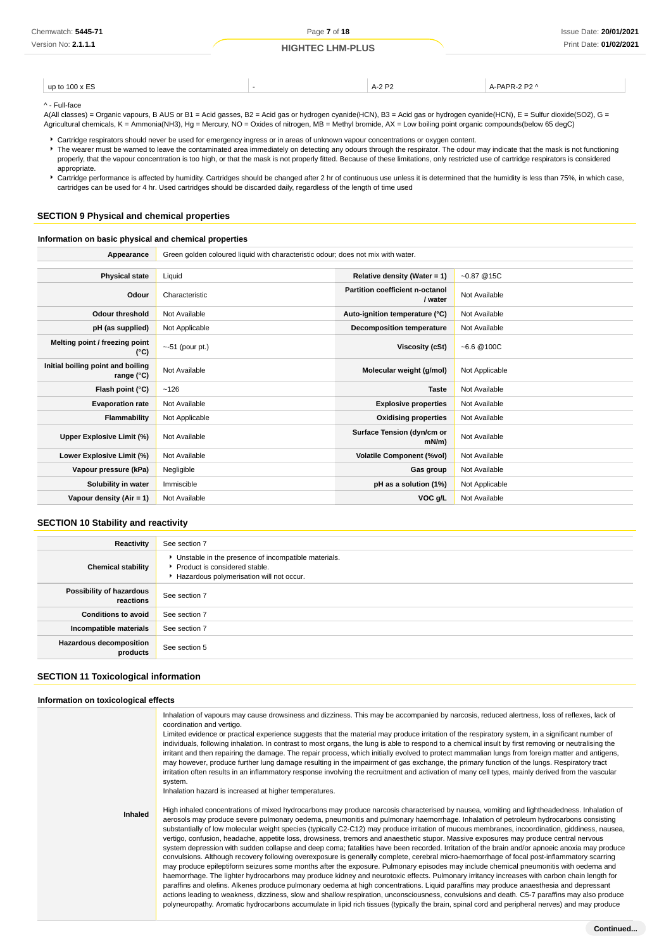| - -<br>100<br>up to | --<br>$\mathbf{a}$<br>- - |  |
|---------------------|---------------------------|--|
|                     |                           |  |

#### ^ - Full-face

A(All classes) = Organic vapours, B AUS or B1 = Acid gasses, B2 = Acid gas or hydrogen cyanide(HCN), B3 = Acid gas or hydrogen cyanide(HCN), E = Sulfur dioxide(SO2), G = Agricultural chemicals, K = Ammonia(NH3), Hg = Mercury, NO = Oxides of nitrogen, MB = Methyl bromide, AX = Low boiling point organic compounds(below 65 degC)

Cartridge respirators should never be used for emergency ingress or in areas of unknown vapour concentrations or oxygen content.

F The wearer must be warned to leave the contaminated area immediately on detecting any odours through the respirator. The odour may indicate that the mask is not functioning properly, that the vapour concentration is too high, or that the mask is not properly fitted. Because of these limitations, only restricted use of cartridge respirators is considered appropriate.

Cartridge performance is affected by humidity. Cartridges should be changed after 2 hr of continuous use unless it is determined that the humidity is less than 75%, in which case, cartridges can be used for 4 hr. Used cartridges should be discarded daily, regardless of the length of time used

#### **SECTION 9 Physical and chemical properties**

#### **Information on basic physical and chemical properties**

**Appearance** Green golden coloured liquid with characteristic odour; does not mix with water.

| <b>Physical state</b>                                    | Liquid                | Relative density (Water = $1$ )            | $-0.87@15C$    |
|----------------------------------------------------------|-----------------------|--------------------------------------------|----------------|
| Odour                                                    | Characteristic        | Partition coefficient n-octanol<br>/ water | Not Available  |
| <b>Odour threshold</b>                                   | Not Available         | Auto-ignition temperature (°C)             | Not Available  |
| pH (as supplied)                                         | Not Applicable        | Decomposition temperature                  | Not Available  |
| Melting point / freezing point<br>(°C)                   | $\sim$ -51 (pour pt.) | Viscosity (cSt)                            | $-6.6@100C$    |
| Initial boiling point and boiling<br>range $(^{\circ}C)$ | Not Available         | Molecular weight (g/mol)                   | Not Applicable |
| Flash point (°C)                                         | ~126                  | <b>Taste</b>                               | Not Available  |
| <b>Evaporation rate</b>                                  | Not Available         | <b>Explosive properties</b>                | Not Available  |
| Flammability                                             | Not Applicable        | <b>Oxidising properties</b>                | Not Available  |
| Upper Explosive Limit (%)                                | Not Available         | Surface Tension (dyn/cm or<br>$mN/m$ )     | Not Available  |
| Lower Explosive Limit (%)                                | Not Available         | <b>Volatile Component (%vol)</b>           | Not Available  |
| Vapour pressure (kPa)                                    | Negligible            | Gas group                                  | Not Available  |
| Solubility in water                                      | Immiscible            | pH as a solution (1%)                      | Not Applicable |
| Vapour density $(Air = 1)$                               | Not Available         | VOC g/L                                    | Not Available  |

### **SECTION 10 Stability and reactivity**

| Reactivity                                 | See section 7                                                                                                                        |
|--------------------------------------------|--------------------------------------------------------------------------------------------------------------------------------------|
| <b>Chemical stability</b>                  | • Unstable in the presence of incompatible materials.<br>▶ Product is considered stable.<br>Hazardous polymerisation will not occur. |
| Possibility of hazardous<br>reactions      | See section 7                                                                                                                        |
| <b>Conditions to avoid</b>                 | See section 7                                                                                                                        |
| Incompatible materials                     | See section 7                                                                                                                        |
| <b>Hazardous decomposition</b><br>products | See section 5                                                                                                                        |

#### **SECTION 11 Toxicological information**

#### **Information on toxicological effects**

**Inhaled** Inhalation of vapours may cause drowsiness and dizziness. This may be accompanied by narcosis, reduced alertness, loss of reflexes, lack of coordination and vertigo. Limited evidence or practical experience suggests that the material may produce irritation of the respiratory system, in a significant number of individuals, following inhalation. In contrast to most organs, the lung is able to respond to a chemical insult by first removing or neutralising the irritant and then repairing the damage. The repair process, which initially evolved to protect mammalian lungs from foreign matter and antigens, may however, produce further lung damage resulting in the impairment of gas exchange, the primary function of the lungs. Respiratory tract irritation often results in an inflammatory response involving the recruitment and activation of many cell types, mainly derived from the vascular system. Inhalation hazard is increased at higher temperatures. High inhaled concentrations of mixed hydrocarbons may produce narcosis characterised by nausea, vomiting and lightheadedness. Inhalation of aerosols may produce severe pulmonary oedema, pneumonitis and pulmonary haemorrhage. Inhalation of petroleum hydrocarbons consisting substantially of low molecular weight species (typically C2-C12) may produce irritation of mucous membranes, incoordination, giddiness, nausea, vertigo, confusion, headache, appetite loss, drowsiness, tremors and anaesthetic stupor. Massive exposures may produce central nervous system depression with sudden collapse and deep coma; fatalities have been recorded. Irritation of the brain and/or apnoeic anoxia may produce convulsions. Although recovery following overexposure is generally complete, cerebral micro-haemorrhage of focal post-inflammatory scarring may produce epileptiform seizures some months after the exposure. Pulmonary episodes may include chemical pneumonitis with oedema and haemorrhage. The lighter hydrocarbons may produce kidney and neurotoxic effects. Pulmonary irritancy increases with carbon chain length for paraffins and olefins. Alkenes produce pulmonary oedema at high concentrations. Liquid paraffins may produce anaesthesia and depressant actions leading to weakness, dizziness, slow and shallow respiration, unconsciousness, convulsions and death. C5-7 paraffins may also produce polyneuropathy. Aromatic hydrocarbons accumulate in lipid rich tissues (typically the brain, spinal cord and peripheral nerves) and may produce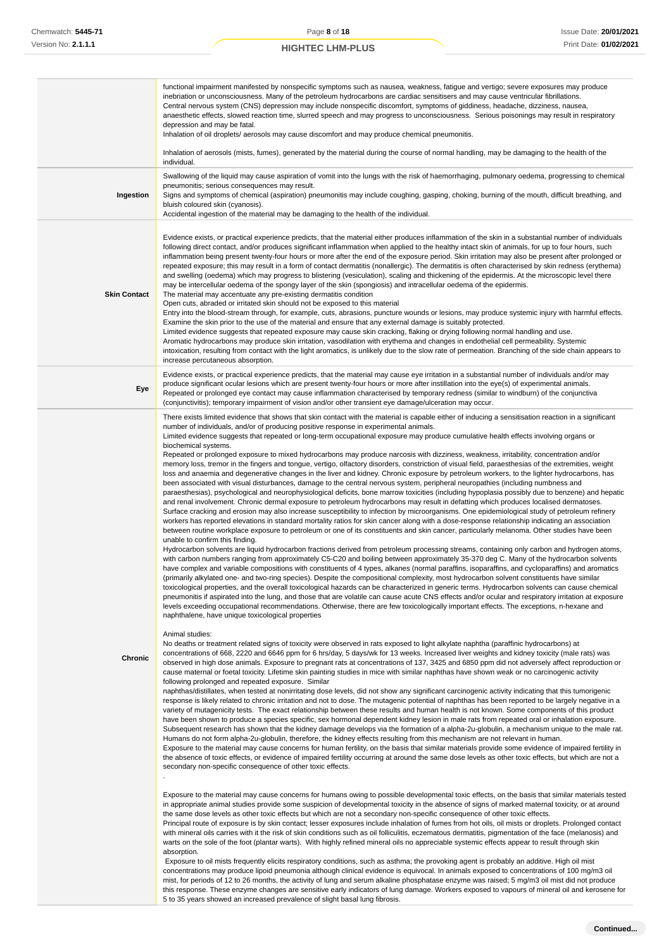|                     | functional impairment manifested by nonspecific symptoms such as nausea, weakness, fatigue and vertigo; severe exposures may produce<br>inebriation or unconsciousness. Many of the petroleum hydrocarbons are cardiac sensitisers and may cause ventricular fibrillations.<br>Central nervous system (CNS) depression may include nonspecific discomfort, symptoms of giddiness, headache, dizziness, nausea,<br>anaesthetic effects, slowed reaction time, slurred speech and may progress to unconsciousness. Serious poisonings may result in respiratory<br>depression and may be fatal.<br>Inhalation of oil droplets/aerosols may cause discomfort and may produce chemical pneumonitis.<br>Inhalation of aerosols (mists, fumes), generated by the material during the course of normal handling, may be damaging to the health of the                                                                                                                                                                                                                                                                                                                                                                                                                                                                                                                                                                                                                                                                                                                                                                                                                                                                                                                                                                                                                                                                                                                                                                                                                                                                                                                                                                                                                                                                                                                                                                                                                                                                                                                                                                                                                                                                                                                                                                                                                                                                                                                                                                                                                                                                                                                                                                                                                                                                                                                                                                                                                                                                                                                                                                                                                                                                                                                                                                                                                                                                                                                                                                                                                                                                                                                                                                                                                                                                                                                                                                                                                                                                                                                                                                                                                                                                                                                                                                                                                                                                                                                                                                                                                                                                                                                                                                                                                                                                                                                                                                                                                                                                                                                                                                                                                                                                                                                                                                                                                                                                                                                                                                                                                                                                                                                                                                                                                                                                                                      |
|---------------------|-----------------------------------------------------------------------------------------------------------------------------------------------------------------------------------------------------------------------------------------------------------------------------------------------------------------------------------------------------------------------------------------------------------------------------------------------------------------------------------------------------------------------------------------------------------------------------------------------------------------------------------------------------------------------------------------------------------------------------------------------------------------------------------------------------------------------------------------------------------------------------------------------------------------------------------------------------------------------------------------------------------------------------------------------------------------------------------------------------------------------------------------------------------------------------------------------------------------------------------------------------------------------------------------------------------------------------------------------------------------------------------------------------------------------------------------------------------------------------------------------------------------------------------------------------------------------------------------------------------------------------------------------------------------------------------------------------------------------------------------------------------------------------------------------------------------------------------------------------------------------------------------------------------------------------------------------------------------------------------------------------------------------------------------------------------------------------------------------------------------------------------------------------------------------------------------------------------------------------------------------------------------------------------------------------------------------------------------------------------------------------------------------------------------------------------------------------------------------------------------------------------------------------------------------------------------------------------------------------------------------------------------------------------------------------------------------------------------------------------------------------------------------------------------------------------------------------------------------------------------------------------------------------------------------------------------------------------------------------------------------------------------------------------------------------------------------------------------------------------------------------------------------------------------------------------------------------------------------------------------------------------------------------------------------------------------------------------------------------------------------------------------------------------------------------------------------------------------------------------------------------------------------------------------------------------------------------------------------------------------------------------------------------------------------------------------------------------------------------------------------------------------------------------------------------------------------------------------------------------------------------------------------------------------------------------------------------------------------------------------------------------------------------------------------------------------------------------------------------------------------------------------------------------------------------------------------------------------------------------------------------------------------------------------------------------------------------------------------------------------------------------------------------------------------------------------------------------------------------------------------------------------------------------------------------------------------------------------------------------------------------------------------------------------------------------------------------------------------------------------------------------------------------------------------------------------------------------------------------------------------------------------------------------------------------------------------------------------------------------------------------------------------------------------------------------------------------------------------------------------------------------------------------------------------------------------------------------------------------------------------------------------------------------------------------------------------------------------------------------------------------------------------------------------------------------------------------------------------------------------------------------------------------------------------------------------------------------------------------------------------------------------------------------------------------------------------------------------------------------------------------------------------------------------------------------------------------------------------------------------------------------------------------------------------------------------------------------------------------------------------------------------------------------------------------------------------------------------------------------------------------------------------------------------------------------------------------------------------------------------------------------------------------------------------------------------------------------------------------|
| Ingestion           | individual.<br>Swallowing of the liquid may cause aspiration of vomit into the lungs with the risk of haemorrhaging, pulmonary oedema, progressing to chemical<br>pneumonitis; serious consequences may result.<br>Signs and symptoms of chemical (aspiration) pneumonitis may include coughing, gasping, choking, burning of the mouth, difficult breathing, and<br>bluish coloured skin (cyanosis).<br>Accidental ingestion of the material may be damaging to the health of the individual.                                                                                                                                                                                                                                                                                                                                                                                                                                                                                                                                                                                                                                                                                                                                                                                                                                                                                                                                                                                                                                                                                                                                                                                                                                                                                                                                                                                                                                                                                                                                                                                                                                                                                                                                                                                                                                                                                                                                                                                                                                                                                                                                                                                                                                                                                                                                                                                                                                                                                                                                                                                                                                                                                                                                                                                                                                                                                                                                                                                                                                                                                                                                                                                                                                                                                                                                                                                                                                                                                                                                                                                                                                                                                                                                                                                                                                                                                                                                                                                                                                                                                                                                                                                                                                                                                                                                                                                                                                                                                                                                                                                                                                                                                                                                                                                                                                                                                                                                                                                                                                                                                                                                                                                                                                                                                                                                                                                                                                                                                                                                                                                                                                                                                                                                                                                                                                                      |
| <b>Skin Contact</b> | Evidence exists, or practical experience predicts, that the material either produces inflammation of the skin in a substantial number of individuals<br>following direct contact, and/or produces significant inflammation when applied to the healthy intact skin of animals, for up to four hours, such<br>inflammation being present twenty-four hours or more after the end of the exposure period. Skin irritation may also be present after prolonged or<br>repeated exposure; this may result in a form of contact dermatitis (nonallergic). The dermatitis is often characterised by skin redness (erythema)<br>and swelling (oedema) which may progress to blistering (vesiculation), scaling and thickening of the epidermis. At the microscopic level there<br>may be intercellular oedema of the spongy layer of the skin (spongiosis) and intracellular oedema of the epidermis.<br>The material may accentuate any pre-existing dermatitis condition<br>Open cuts, abraded or irritated skin should not be exposed to this material<br>Entry into the blood-stream through, for example, cuts, abrasions, puncture wounds or lesions, may produce systemic injury with harmful effects.<br>Examine the skin prior to the use of the material and ensure that any external damage is suitably protected.<br>Limited evidence suggests that repeated exposure may cause skin cracking, flaking or drying following normal handling and use.<br>Aromatic hydrocarbons may produce skin irritation, vasodilation with erythema and changes in endothelial cell permeability. Systemic<br>intoxication, resulting from contact with the light aromatics, is unlikely due to the slow rate of permeation. Branching of the side chain appears to<br>increase percutaneous absorption.                                                                                                                                                                                                                                                                                                                                                                                                                                                                                                                                                                                                                                                                                                                                                                                                                                                                                                                                                                                                                                                                                                                                                                                                                                                                                                                                                                                                                                                                                                                                                                                                                                                                                                                                                                                                                                                                                                                                                                                                                                                                                                                                                                                                                                                                                                                                                                                                                                                                                                                                                                                                                                                                                                                                                                                                                                                                                                                                                                                                                                                                                                                                                                                                                                                                                                                                                                                                                                                                                                                                                                                                                                                                                                                                                                                                                                                                                                                                                                                                                                                                                                                                                                                                                                                                                                                                                                                                                                                                                                                                                       |
| Eye                 | Evidence exists, or practical experience predicts, that the material may cause eye irritation in a substantial number of individuals and/or may<br>produce significant ocular lesions which are present twenty-four hours or more after instillation into the eye(s) of experimental animals.<br>Repeated or prolonged eye contact may cause inflammation characterised by temporary redness (similar to windburn) of the conjunctiva<br>(conjunctivitis); temporary impairment of vision and/or other transient eye damage/ulceration may occur.                                                                                                                                                                                                                                                                                                                                                                                                                                                                                                                                                                                                                                                                                                                                                                                                                                                                                                                                                                                                                                                                                                                                                                                                                                                                                                                                                                                                                                                                                                                                                                                                                                                                                                                                                                                                                                                                                                                                                                                                                                                                                                                                                                                                                                                                                                                                                                                                                                                                                                                                                                                                                                                                                                                                                                                                                                                                                                                                                                                                                                                                                                                                                                                                                                                                                                                                                                                                                                                                                                                                                                                                                                                                                                                                                                                                                                                                                                                                                                                                                                                                                                                                                                                                                                                                                                                                                                                                                                                                                                                                                                                                                                                                                                                                                                                                                                                                                                                                                                                                                                                                                                                                                                                                                                                                                                                                                                                                                                                                                                                                                                                                                                                                                                                                                                                                   |
| <b>Chronic</b>      | There exists limited evidence that shows that skin contact with the material is capable either of inducing a sensitisation reaction in a significant<br>number of individuals, and/or of producing positive response in experimental animals.<br>Limited evidence suggests that repeated or long-term occupational exposure may produce cumulative health effects involving organs or<br>biochemical systems.<br>Repeated or prolonged exposure to mixed hydrocarbons may produce narcosis with dizziness, weakness, irritability, concentration and/or<br>memory loss, tremor in the fingers and tongue, vertigo, olfactory disorders, constriction of visual field, paraesthesias of the extremities, weight<br>loss and anaemia and degenerative changes in the liver and kidney. Chronic exposure by petroleum workers, to the lighter hydrocarbons, has<br>been associated with visual disturbances, damage to the central nervous system, peripheral neuropathies (including numbness and<br>paraesthesias), psychological and neurophysiological deficits, bone marrow toxicities (including hypoplasia possibly due to benzene) and hepatic<br>and renal involvement. Chronic dermal exposure to petroleum hydrocarbons may result in defatting which produces localised dermatoses.<br>Surface cracking and erosion may also increase susceptibility to infection by microorganisms. One epidemiological study of petroleum refinery<br>workers has reported elevations in standard mortality ratios for skin cancer along with a dose-response relationship indicating an association<br>between routine workplace exposure to petroleum or one of its constituents and skin cancer, particularly melanoma. Other studies have been<br>unable to confirm this finding.<br>Hydrocarbon solvents are liquid hydrocarbon fractions derived from petroleum processing streams, containing only carbon and hydrogen atoms,<br>with carbon numbers ranging from approximately C5-C20 and boiling between approximately 35-370 deg C. Many of the hydrocarbon solvents<br>have complex and variable compositions with constituents of 4 types, alkanes (normal paraffins, isoparaffins, and cycloparaffins) and aromatics<br>(primarily alkylated one- and two-ring species). Despite the compositional complexity, most hydrocarbon solvent constituents have similar<br>toxicological properties, and the overall toxicological hazards can be characterized in generic terms. Hydrocarbon solvents can cause chemical<br>pneumonitis if aspirated into the lung, and those that are volatile can cause acute CNS effects and/or ocular and respiratory irritation at exposure<br>levels exceeding occupational recommendations. Otherwise, there are few toxicologically important effects. The exceptions, n-hexane and<br>naphthalene, have unique toxicological properties<br>Animal studies:<br>No deaths or treatment related signs of toxicity were observed in rats exposed to light alkylate naphtha (paraffinic hydrocarbons) at<br>concentrations of 668, 2220 and 6646 ppm for 6 hrs/day, 5 days/wk for 13 weeks. Increased liver weights and kidney toxicity (male rats) was<br>observed in high dose animals. Exposure to pregnant rats at concentrations of 137, 3425 and 6850 ppm did not adversely affect reproduction or<br>cause maternal or foetal toxicity. Lifetime skin painting studies in mice with similar naphthas have shown weak or no carcinogenic activity<br>following prolonged and repeated exposure. Similar<br>naphthas/distillates, when tested at nonirritating dose levels, did not show any significant carcinogenic activity indicating that this tumorigenic<br>response is likely related to chronic irritation and not to dose. The mutagenic potential of naphthas has been reported to be largely negative in a<br>variety of mutagenicity tests. The exact relationship between these results and human health is not known. Some components of this product<br>have been shown to produce a species specific, sex hormonal dependent kidney lesion in male rats from repeated oral or inhalation exposure.<br>Subsequent research has shown that the kidney damage develops via the formation of a alpha-2u-globulin, a mechanism unique to the male rat.<br>Humans do not form alpha-2u-globulin, therefore, the kidney effects resulting from this mechanism are not relevant in human.<br>Exposure to the material may cause concerns for human fertility, on the basis that similar materials provide some evidence of impaired fertility in<br>the absence of toxic effects, or evidence of impaired fertility occurring at around the same dose levels as other toxic effects, but which are not a<br>secondary non-specific consequence of other toxic effects.<br>Exposure to the material may cause concerns for humans owing to possible developmental toxic effects, on the basis that similar materials tested<br>in appropriate animal studies provide some suspicion of developmental toxicity in the absence of signs of marked maternal toxicity, or at around<br>the same dose levels as other toxic effects but which are not a secondary non-specific consequence of other toxic effects.<br>Principal route of exposure is by skin contact; lesser exposures include inhalation of fumes from hot oils, oil mists or droplets. Prolonged contact<br>with mineral oils carries with it the risk of skin conditions such as oil folliculitis, eczematous dermatitis, pigmentation of the face (melanosis) and<br>warts on the sole of the foot (plantar warts). With highly refined mineral oils no appreciable systemic effects appear to result through skin<br>absorption.<br>Exposure to oil mists frequently elicits respiratory conditions, such as asthma; the provoking agent is probably an additive. High oil mist<br>concentrations may produce lipoid pneumonia although clinical evidence is equivocal. In animals exposed to concentrations of 100 mg/m3 oil<br>mist, for periods of 12 to 26 months, the activity of lung and serum alkaline phosphatase enzyme was raised; 5 mg/m3 oil mist did not produce<br>this response. These enzyme changes are sensitive early indicators of lung damage. Workers exposed to vapours of mineral oil and kerosene for |

5 to 35 years showed an increased prevalence of slight basal lung fibrosis.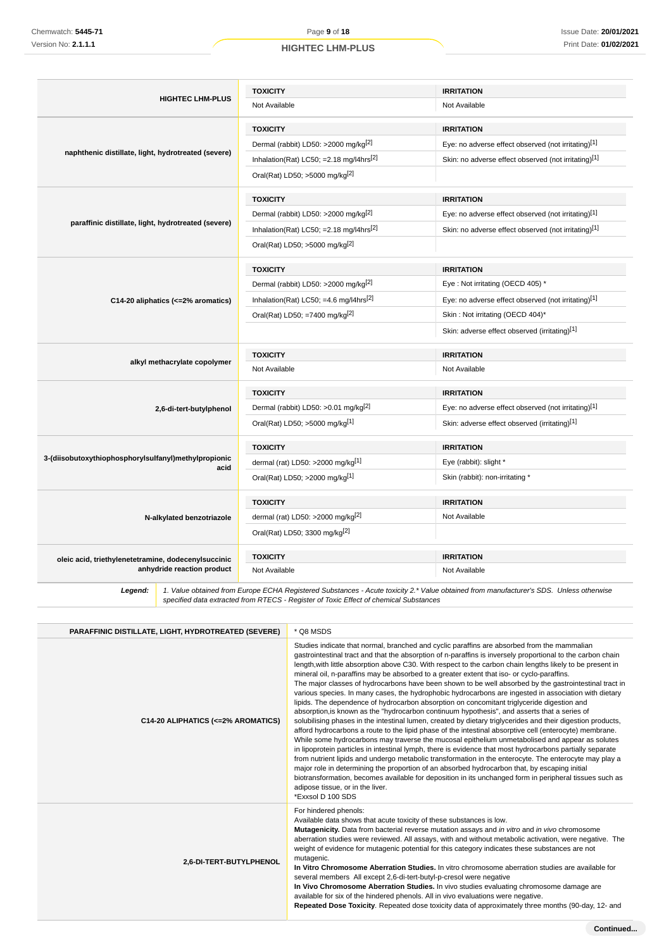|                                                              | <b>TOXICITY</b>                                      | <b>IRRITATION</b>                                    |
|--------------------------------------------------------------|------------------------------------------------------|------------------------------------------------------|
| <b>HIGHTEC LHM-PLUS</b>                                      | Not Available                                        | Not Available                                        |
|                                                              | <b>TOXICITY</b>                                      | <b>IRRITATION</b>                                    |
|                                                              | Dermal (rabbit) LD50: >2000 mg/kg <sup>[2]</sup>     | Eye: no adverse effect observed (not irritating)[1]  |
| naphthenic distillate, light, hydrotreated (severe)          | Inhalation(Rat) LC50; = 2.18 mg/l4hrs <sup>[2]</sup> | Skin: no adverse effect observed (not irritating)[1] |
|                                                              | Oral(Rat) LD50; >5000 mg/kg <sup>[2]</sup>           |                                                      |
|                                                              | <b>TOXICITY</b>                                      | <b>IRRITATION</b>                                    |
|                                                              | Dermal (rabbit) LD50: >2000 mg/kg <sup>[2]</sup>     | Eye: no adverse effect observed (not irritating)[1]  |
| paraffinic distillate, light, hydrotreated (severe)          | Inhalation(Rat) LC50; =2.18 mg/l4hrs <sup>[2]</sup>  | Skin: no adverse effect observed (not irritating)[1] |
|                                                              | Oral(Rat) LD50; >5000 mg/kg <sup>[2]</sup>           |                                                      |
|                                                              | <b>TOXICITY</b>                                      | <b>IRRITATION</b>                                    |
|                                                              | Dermal (rabbit) LD50: >2000 mg/kg <sup>[2]</sup>     | Eye: Not irritating (OECD 405) *                     |
| C14-20 aliphatics (<=2% aromatics)                           | Inhalation(Rat) LC50; =4.6 mg/l4hrs <sup>[2]</sup>   | Eye: no adverse effect observed (not irritating)[1]  |
|                                                              | Oral(Rat) LD50; =7400 mg/kg <sup>[2]</sup>           | Skin: Not irritating (OECD 404)*                     |
|                                                              |                                                      | Skin: adverse effect observed (irritating)[1]        |
|                                                              | <b>TOXICITY</b>                                      | <b>IRRITATION</b>                                    |
| alkyl methacrylate copolymer                                 | Not Available                                        | Not Available                                        |
|                                                              | <b>TOXICITY</b>                                      | <b>IRRITATION</b>                                    |
| 2,6-di-tert-butylphenol                                      | Dermal (rabbit) LD50: >0.01 mg/kg <sup>[2]</sup>     | Eye: no adverse effect observed (not irritating)[1]  |
|                                                              | Oral(Rat) LD50; >5000 mg/kg[1]                       | Skin: adverse effect observed (irritating)[1]        |
|                                                              | <b>TOXICITY</b>                                      | <b>IRRITATION</b>                                    |
| 3-(diisobutoxythiophosphorylsulfanyl)methylpropionic<br>acid | dermal (rat) LD50: >2000 mg/kg <sup>[1]</sup>        | Eye (rabbit): slight *                               |
|                                                              | Oral(Rat) LD50; >2000 mg/kg <sup>[1]</sup>           | Skin (rabbit): non-irritating *                      |
|                                                              | <b>TOXICITY</b>                                      | <b>IRRITATION</b>                                    |
| N-alkylated benzotriazole                                    | dermal (rat) LD50: >2000 mg/kg $[2]$                 | Not Available                                        |
|                                                              | Oral(Rat) LD50; 3300 mg/kg <sup>[2]</sup>            |                                                      |
| oleic acid, triethylenetetramine, dodecenylsuccinic          | <b>TOXICITY</b>                                      | <b>IRRITATION</b>                                    |
| anhydride reaction product                                   | Not Available                                        | Not Available                                        |

Legend: 1. Value obtained from Europe ECHA Registered Substances - Acute toxicity 2.\* Value obtained from manufacturer's SDS. Unless otherwise specified data extracted from RTECS - Register of Toxic Effect of chemical Substances

| PARAFFINIC DISTILLATE, LIGHT, HYDROTREATED (SEVERE) | * Q8 MSDS                                                                                                                                                                                                                                                                                                                                                                                                                                                                                                                                                                                                                                                                                                                                                                                                                                                                                                                                                                                                                                                                                                                                                                                                                                                                                                                                                                                                                                                                                                                                                                                                                                                        |
|-----------------------------------------------------|------------------------------------------------------------------------------------------------------------------------------------------------------------------------------------------------------------------------------------------------------------------------------------------------------------------------------------------------------------------------------------------------------------------------------------------------------------------------------------------------------------------------------------------------------------------------------------------------------------------------------------------------------------------------------------------------------------------------------------------------------------------------------------------------------------------------------------------------------------------------------------------------------------------------------------------------------------------------------------------------------------------------------------------------------------------------------------------------------------------------------------------------------------------------------------------------------------------------------------------------------------------------------------------------------------------------------------------------------------------------------------------------------------------------------------------------------------------------------------------------------------------------------------------------------------------------------------------------------------------------------------------------------------------|
| C14-20 ALIPHATICS (<=2% AROMATICS)                  | Studies indicate that normal, branched and cyclic paraffins are absorbed from the mammalian<br>gastrointestinal tract and that the absorption of n-paraffins is inversely proportional to the carbon chain<br>length, with little absorption above C30. With respect to the carbon chain lengths likely to be present in<br>mineral oil, n-paraffins may be absorbed to a greater extent that iso- or cyclo-paraffins.<br>The major classes of hydrocarbons have been shown to be well absorbed by the gastrointestinal tract in<br>various species. In many cases, the hydrophobic hydrocarbons are ingested in association with dietary<br>lipids. The dependence of hydrocarbon absorption on concomitant triglyceride digestion and<br>absorption, is known as the "hydrocarbon continuum hypothesis", and asserts that a series of<br>solubilising phases in the intestinal lumen, created by dietary triglycerides and their digestion products,<br>afford hydrocarbons a route to the lipid phase of the intestinal absorptive cell (enterocyte) membrane.<br>While some hydrocarbons may traverse the mucosal epithelium unmetabolised and appear as solutes<br>in lipoprotein particles in intestinal lymph, there is evidence that most hydrocarbons partially separate<br>from nutrient lipids and undergo metabolic transformation in the enterocyte. The enterocyte may play a<br>major role in determining the proportion of an absorbed hydrocarbon that, by escaping initial<br>biotransformation, becomes available for deposition in its unchanged form in peripheral tissues such as<br>adipose tissue, or in the liver.<br>*Exxsol D 100 SDS |
| 2,6-DI-TERT-BUTYLPHENOL                             | For hindered phenols:<br>Available data shows that acute toxicity of these substances is low.<br>Mutagenicity. Data from bacterial reverse mutation assays and in vitro and in vivo chromosome<br>aberration studies were reviewed. All assays, with and without metabolic activation, were negative. The<br>weight of evidence for mutagenic potential for this category indicates these substances are not<br>mutagenic.<br>In Vitro Chromosome Aberration Studies. In vitro chromosome aberration studies are available for<br>several members All except 2,6-di-tert-butyl-p-cresol were negative<br>In Vivo Chromosome Aberration Studies. In vivo studies evaluating chromosome damage are<br>available for six of the hindered phenols. All in vivo evaluations were negative.<br>Repeated Dose Toxicity. Repeated dose toxicity data of approximately three months (90-day, 12- and                                                                                                                                                                                                                                                                                                                                                                                                                                                                                                                                                                                                                                                                                                                                                                      |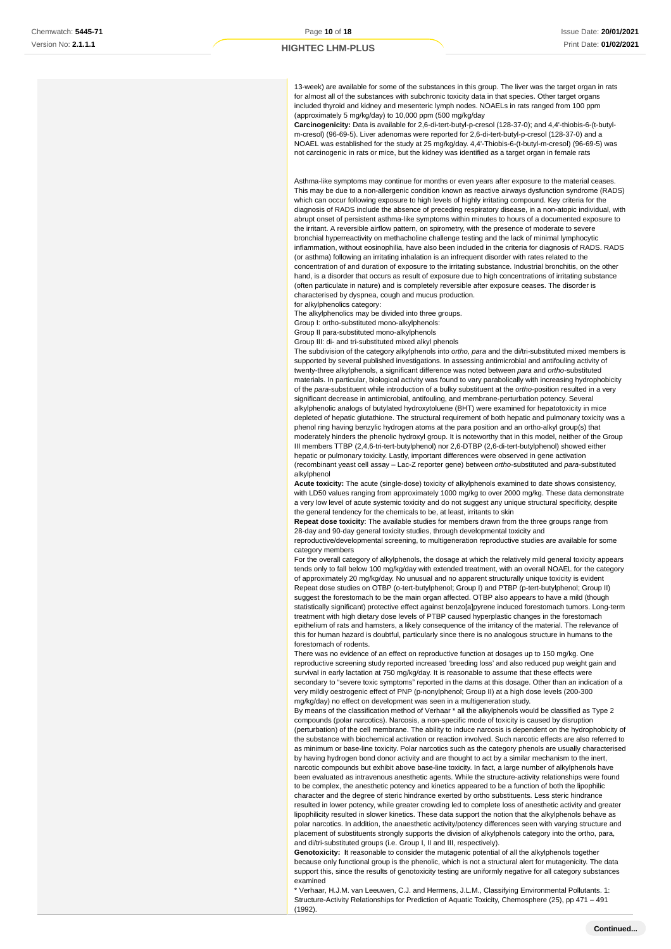13-week) are available for some of the substances in this group. The liver was the target organ in rats for almost all of the substances with subchronic toxicity data in that species. Other target organs included thyroid and kidney and mesenteric lymph nodes. NOAELs in rats ranged from 100 ppm (approximately 5 mg/kg/day) to 10,000 ppm (500 mg/kg/day

**Carcinogenicity:** Data is available for 2,6-di-tert-butyl-p-cresol (128-37-0); and 4,4'-thiobis-6-(t-butylm-cresol) (96-69-5). Liver adenomas were reported for 2,6-di-tert-butyl-p-cresol (128-37-0) and a NOAEL was established for the study at 25 mg/kg/day. 4,4'-Thiobis-6-(t-butyl-m-cresol) (96-69-5) was not carcinogenic in rats or mice, but the kidney was identified as a target organ in female rats

Asthma-like symptoms may continue for months or even years after exposure to the material ceases. This may be due to a non-allergenic condition known as reactive airways dysfunction syndrome (RADS) which can occur following exposure to high levels of highly irritating compound. Key criteria for the diagnosis of RADS include the absence of preceding respiratory disease, in a non-atopic individual, with abrupt onset of persistent asthma-like symptoms within minutes to hours of a documented exposure to the irritant. A reversible airflow pattern, on spirometry, with the presence of moderate to severe bronchial hyperreactivity on methacholine challenge testing and the lack of minimal lymphocytic inflammation, without eosinophilia, have also been included in the criteria for diagnosis of RADS. RADS (or asthma) following an irritating inhalation is an infrequent disorder with rates related to the concentration of and duration of exposure to the irritating substance. Industrial bronchitis, on the other hand, is a disorder that occurs as result of exposure due to high concentrations of irritating substance (often particulate in nature) and is completely reversible after exposure ceases. The disorder is characterised by dyspnea, cough and mucus production.

for alkylphenolics category:

The alkylphenolics may be divided into three groups.

Group I: ortho-substituted mono-alkylphenols: Group II para-substituted mono-alkylphenols

Group III: di- and tri-substituted mixed alkyl phenols

The subdivision of the category alkylphenols into ortho, para and the di/tri-substituted mixed members is supported by several published investigations. In assessing antimicrobial and antifouling activity of twenty-three alkylphenols, a significant difference was noted between para and ortho-substituted materials. In particular, biological activity was found to vary parabolically with increasing hydrophobicity of the para-substituent while introduction of a bulky substituent at the ortho-position resulted in a very significant decrease in antimicrobial, antifouling, and membrane-perturbation potency. Several alkylphenolic analogs of butylated hydroxytoluene (BHT) were examined for hepatotoxicity in mice depleted of hepatic glutathione. The structural requirement of both hepatic and pulmonary toxicity was a phenol ring having benzylic hydrogen atoms at the para position and an ortho-alkyl group(s) that moderately hinders the phenolic hydroxyl group. It is noteworthy that in this model, neither of the Group III members TTBP (2,4,6-tri-tert-butylphenol) nor 2,6-DTBP (2,6-di-tert-butylphenol) showed either hepatic or pulmonary toxicity. Lastly, important differences were observed in gene activation (recombinant yeast cell assay – Lac-Z reporter gene) between ortho-substituted and para-substituted alkylphenol

**Acute toxicity:** The acute (single-dose) toxicity of alkylphenols examined to date shows consistency, with LD50 values ranging from approximately 1000 mg/kg to over 2000 mg/kg. These data demonstrate a very low level of acute systemic toxicity and do not suggest any unique structural specificity, despite the general tendency for the chemicals to be, at least, irritants to skin

**Repeat dose toxicity**: The available studies for members drawn from the three groups range from 28-day and 90-day general toxicity studies, through developmental toxicity and

reproductive/developmental screening, to multigeneration reproductive studies are available for some category members

For the overall category of alkylphenols, the dosage at which the relatively mild general toxicity appears tends only to fall below 100 mg/kg/day with extended treatment, with an overall NOAEL for the category of approximately 20 mg/kg/day. No unusual and no apparent structurally unique toxicity is evident Repeat dose studies on OTBP (o-tert-butylphenol; Group I) and PTBP (p-tert-butylphenol; Group II) suggest the forestomach to be the main organ affected. OTBP also appears to have a mild (though statistically significant) protective effect against benzo[a]pyrene induced forestomach tumors. Long-term treatment with high dietary dose levels of PTBP caused hyperplastic changes in the forestomach epithelium of rats and hamsters, a likely consequence of the irritancy of the material. The relevance of this for human hazard is doubtful, particularly since there is no analogous structure in humans to the forestomach of rodents.

There was no evidence of an effect on reproductive function at dosages up to 150 mg/kg. One reproductive screening study reported increased 'breeding loss' and also reduced pup weight gain and survival in early lactation at 750 mg/kg/day. It is reasonable to assume that these effects were secondary to "severe toxic symptoms" reported in the dams at this dosage. Other than an indication of a very mildly oestrogenic effect of PNP (p-nonylphenol; Group II) at a high dose levels (200-300 mg/kg/day) no effect on development was seen in a multigeneration study.

By means of the classification method of Verhaar \* all the alkylphenols would be classified as Type 2 compounds (polar narcotics). Narcosis, a non-specific mode of toxicity is caused by disruption (perturbation) of the cell membrane. The ability to induce narcosis is dependent on the hydrophobicity of the substance with biochemical activation or reaction involved. Such narcotic effects are also referred to as minimum or base-line toxicity. Polar narcotics such as the category phenols are usually characterised by having hydrogen bond donor activity and are thought to act by a similar mechanism to the inert, narcotic compounds but exhibit above base-line toxicity. In fact, a large number of alkylphenols have been evaluated as intravenous anesthetic agents. While the structure-activity relationships were found to be complex, the anesthetic potency and kinetics appeared to be a function of both the lipophilic character and the degree of steric hindrance exerted by ortho substituents. Less steric hindrance resulted in lower potency, while greater crowding led to complete loss of anesthetic activity and greater lipophilicity resulted in slower kinetics. These data support the notion that the alkylphenols behave as polar narcotics. In addition, the anaesthetic activity/potency differences seen with varying structure and placement of substituents strongly supports the division of alkylphenols category into the ortho, para, and di/tri-substituted groups (i.e. Group I, II and III, respectively).

**Genotoxicity: I**t reasonable to consider the mutagenic potential of all the alkylphenols together because only functional group is the phenolic, which is not a structural alert for mutagenicity. The data support this, since the results of genotoxicity testing are uniformly negative for all category substances examined

\* Verhaar, H.J.M. van Leeuwen, C.J. and Hermens, J.L.M., Classifying Environmental Pollutants. 1: Structure-Activity Relationships for Prediction of Aquatic Toxicity, Chemosphere (25), pp 471 – 491 (1992).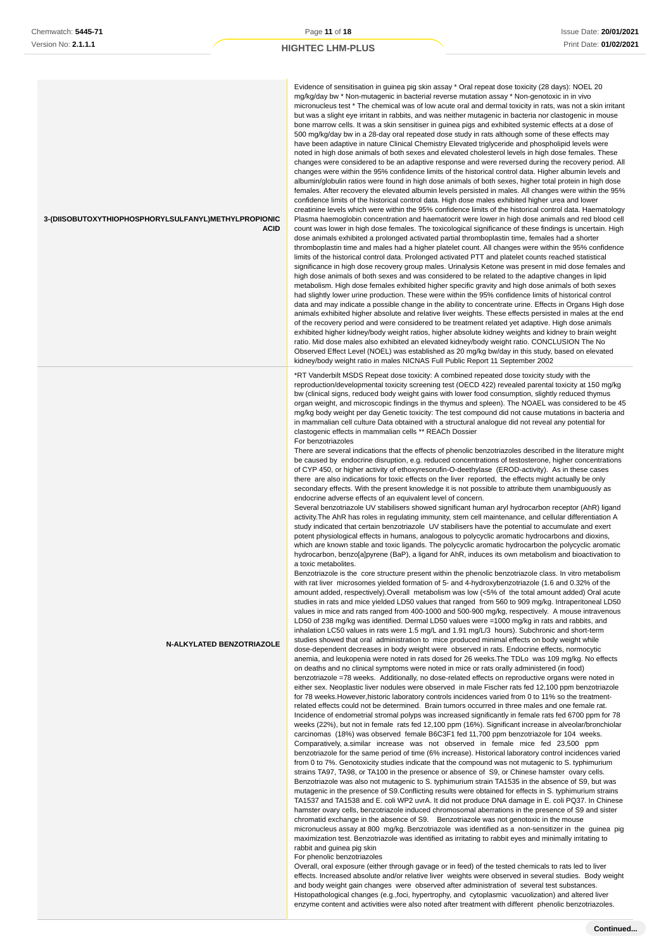**ACID**

**N-ALKYLATED BENZOTRIAZOLE**

**3-(DIISOBUTOXYTHIOPHOSPHORYLSULFANYL)METHYLPROPIONIC**

mg/kg/day bw \* Non-mutagenic in bacterial reverse mutation assay \* Non-genotoxic in in vivo micronucleus test \* The chemical was of low acute oral and dermal toxicity in rats, was not a skin irritant but was a slight eye irritant in rabbits, and was neither mutagenic in bacteria nor clastogenic in mouse bone marrow cells. It was a skin sensitiser in guinea pigs and exhibited systemic effects at a dose of 500 mg/kg/day bw in a 28-day oral repeated dose study in rats although some of these effects may have been adaptive in nature Clinical Chemistry Elevated triglyceride and phospholipid levels were noted in high dose animals of both sexes and elevated cholesterol levels in high dose females. These changes were considered to be an adaptive response and were reversed during the recovery period. All changes were within the 95% confidence limits of the historical control data. Higher albumin levels and albumin/globulin ratios were found in high dose animals of both sexes, higher total protein in high dose females. After recovery the elevated albumin levels persisted in males. All changes were within the 95% confidence limits of the historical control data. High dose males exhibited higher urea and lower creatinine levels which were within the 95% confidence limits of the historical control data. Haematology Plasma haemoglobin concentration and haematocrit were lower in high dose animals and red blood cell count was lower in high dose females. The toxicological significance of these findings is uncertain. High dose animals exhibited a prolonged activated partial thromboplastin time, females had a shorter thromboplastin time and males had a higher platelet count. All changes were within the 95% confidence limits of the historical control data. Prolonged activated PTT and platelet counts reached statistical significance in high dose recovery group males. Urinalysis Ketone was present in mid dose females and high dose animals of both sexes and was considered to be related to the adaptive changes in lipid metabolism. High dose females exhibited higher specific gravity and high dose animals of both sexes had slightly lower urine production. These were within the 95% confidence limits of historical control data and may indicate a possible change in the ability to concentrate urine. Effects in Organs High dose animals exhibited higher absolute and relative liver weights. These effects persisted in males at the end of the recovery period and were considered to be treatment related yet adaptive. High dose animals exhibited higher kidney/body weight ratios, higher absolute kidney weights and kidney to brain weight ratio. Mid dose males also exhibited an elevated kidney/body weight ratio. CONCLUSION The No

Evidence of sensitisation in guinea pig skin assay \* Oral repeat dose toxicity (28 days): NOEL 20

\*RT Vanderbilt MSDS Repeat dose toxicity: A combined repeated dose toxicity study with the reproduction/developmental toxicity screening test (OECD 422) revealed parental toxicity at 150 mg/kg bw (clinical signs, reduced body weight gains with lower food consumption, slightly reduced thymus organ weight, and microscopic findings in the thymus and spleen). The NOAEL was considered to be 45 mg/kg body weight per day Genetic toxicity: The test compound did not cause mutations in bacteria and in mammalian cell culture Data obtained with a structural analogue did not reveal any potential for clastogenic effects in mammalian cells \*\* REACh Dossier

Observed Effect Level (NOEL) was established as 20 mg/kg bw/day in this study, based on elevated

kidney/body weight ratio in males NICNAS Full Public Report 11 September 2002

For benzotriazoles

There are several indications that the effects of phenolic benzotriazoles described in the literature might be caused by endocrine disruption, e.g. reduced concentrations of testosterone, higher concentrations of CYP 450, or higher activity of ethoxyresorufin-O-deethylase (EROD-activity). As in these cases there are also indications for toxic effects on the liver reported, the effects might actually be only secondary effects. With the present knowledge it is not possible to attribute them unambiguously as endocrine adverse effects of an equivalent level of concern.

Several benzotriazole UV stabilisers showed significant human aryl hydrocarbon receptor (AhR) ligand activity.The AhR has roles in regulating immunity, stem cell maintenance, and cellular differentiation A study indicated that certain benzotriazole UV stabilisers have the potential to accumulate and exert potent physiological effects in humans, analogous to polycyclic aromatic hydrocarbons and dioxins, which are known stable and toxic ligands. The polycyclic aromatic hydrocarbon the polycyclic aromatic hydrocarbon, benzo[a]pyrene (BaP), a ligand for AhR, induces its own metabolism and bioactivation to a toxic metabolites.

Benzotriazole is the core structure present within the phenolic benzotriazole class. In vitro metabolism with rat liver microsomes yielded formation of 5- and 4-hydroxybenzotriazole (1.6 and 0.32% of the amount added, respectively).Overall metabolism was low (<5% of the total amount added) Oral acute studies in rats and mice yielded LD50 values that ranged from 560 to 909 mg/kg. Intraperitoneal LD50 values in mice and rats ranged from 400-1000 and 500-900 mg/kg, respectively. A mouse intravenous LD50 of 238 mg/kg was identified. Dermal LD50 values were =1000 mg/kg in rats and rabbits, and inhalation LC50 values in rats were 1.5 mg/L and 1.91 mg/L/3 hours). Subchronic and short-term studies showed that oral administration to mice produced minimal effects on body weight while dose-dependent decreases in body weight were observed in rats. Endocrine effects, normocytic anemia, and leukopenia were noted in rats dosed for 26 weeks.The TDLo was 109 mg/kg. No effects on deaths and no clinical symptoms were noted in mice or rats orally administered (in food) benzotriazole =78 weeks. Additionally, no dose-related effects on reproductive organs were noted in either sex. Neoplastic liver nodules were observed in male Fischer rats fed 12,100 ppm benzotriazole for 78 weeks.However,historic laboratory controls incidences varied from 0 to 11% so the treatmentrelated effects could not be determined. Brain tumors occurred in three males and one female rat. Incidence of endometrial stromal polyps was increased significantly in female rats fed 6700 ppm for 78 weeks (22%), but not in female rats fed 12,100 ppm (16%). Significant increase in alveolar/bronchiolar carcinomas (18%) was observed female B6C3F1 fed 11,700 ppm benzotriazole for 104 weeks. Comparatively, a.similar increase was not observed in female mice fed 23,500 ppm benzotriazole for the same period of time (6% increase). Historical laboratory control incidences varied from 0 to 7%. Genotoxicity studies indicate that the compound was not mutagenic to S. typhimurium strains TA97, TA98, or TA100 in the presence or absence of S9, or Chinese hamster ovary cells. Benzotriazole was also not mutagenic to S. typhimurium strain TA1535 in the absence of S9, but was mutagenic in the presence of S9.Conflicting results were obtained for effects in S. typhimurium strains TA1537 and TA1538 and E. coli WP2 uvrA. It did not produce DNA damage in E. coli PQ37. In Chinese hamster ovary cells, benzotriazole induced chromosomal aberrations in the presence of S9 and sister chromatid exchange in the absence of S9. Benzotriazole was not genotoxic in the mouse micronucleus assay at 800 mg/kg. Benzotriazole was identified as a non-sensitizer in the guinea pig maximization test. Benzotriazole was identified as irritating to rabbit eyes and minimally irritating to rabbit and guinea pig skin

For phenolic benzotriazoles

Overall, oral exposure (either through gavage or in feed) of the tested chemicals to rats led to liver effects. Increased absolute and/or relative liver weights were observed in several studies. Body weight and body weight gain changes were observed after administration of several test substances Histopathological changes (e.g.,foci, hypertrophy, and cytoplasmic vacuolization) and altered liver enzyme content and activities were also noted after treatment with different phenolic benzotriazoles.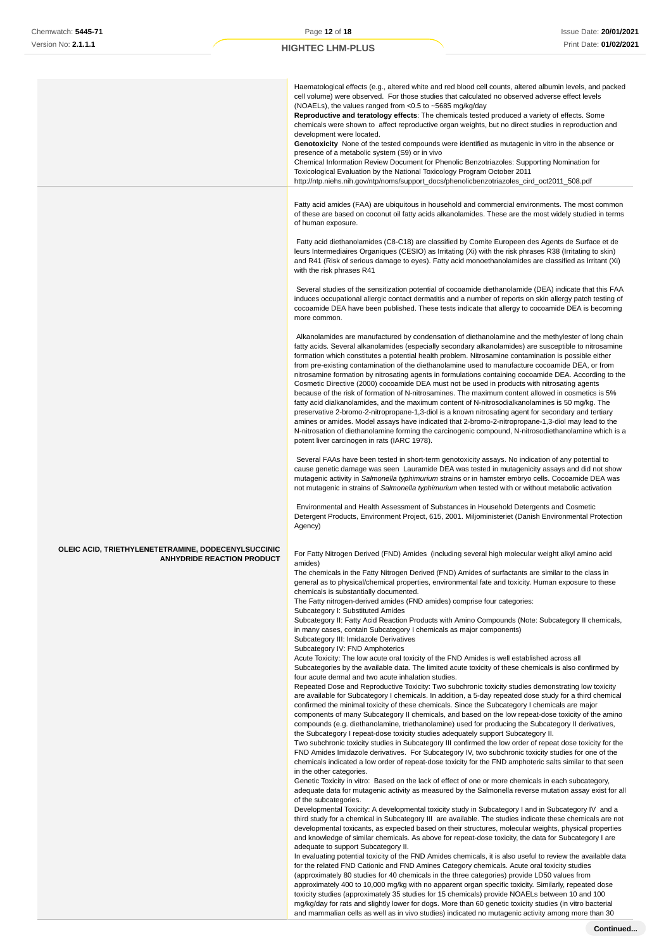#### Haematological effects (e.g., altered white and red blood cell counts, altered albumin levels, and packed cell volume) were observed. For those studies that calculated no observed adverse effect levels (NOAELs), the values ranged from  $\leq$ 0.5 to  $\approx$ 5685 mg/kg/day **Reproductive and teratology effects**: The chemicals tested produced a variety of effects. Some chemicals were shown to affect reproductive organ weights, but no direct studies in reproduction and development were located. **Genotoxicity** None of the tested compounds were identified as mutagenic in vitro in the absence or presence of a metabolic system (S9) or in vivo Chemical Information Review Document for Phenolic Benzotriazoles: Supporting Nomination for Toxicological Evaluation by the National Toxicology Program October 2011 http://ntp.niehs.nih.gov/ntp/noms/support\_docs/phenolicbenzotriazoles\_cird\_oct2011\_508.pdf **OLEIC ACID, TRIETHYLENETETRAMINE, DODECENYLSUCCINIC ANHYDRIDE REACTION PRODUCT** Fatty acid amides (FAA) are ubiquitous in household and commercial environments. The most common of these are based on coconut oil fatty acids alkanolamides. These are the most widely studied in terms of human exposure. Fatty acid diethanolamides (C8-C18) are classified by Comite Europeen des Agents de Surface et de leurs Intermediaires Organiques (CESIO) as Irritating (Xi) with the risk phrases R38 (Irritating to skin) and R41 (Risk of serious damage to eyes). Fatty acid monoethanolamides are classified as Irritant (Xi) with the risk phrases R41 Several studies of the sensitization potential of cocoamide diethanolamide (DEA) indicate that this FAA induces occupational allergic contact dermatitis and a number of reports on skin allergy patch testing of cocoamide DEA have been published. These tests indicate that allergy to cocoamide DEA is becoming more common. Alkanolamides are manufactured by condensation of diethanolamine and the methylester of long chain fatty acids. Several alkanolamides (especially secondary alkanolamides) are susceptible to nitrosamine formation which constitutes a potential health problem. Nitrosamine contamination is possible either from pre-existing contamination of the diethanolamine used to manufacture cocoamide DEA, or from nitrosamine formation by nitrosating agents in formulations containing cocoamide DEA. According to the Cosmetic Directive (2000) cocoamide DEA must not be used in products with nitrosating agents because of the risk of formation of N-nitrosamines. The maximum content allowed in cosmetics is 5% fatty acid dialkanolamides, and the maximum content of N-nitrosodialkanolamines is 50 mg/kg. The preservative 2-bromo-2-nitropropane-1,3-diol is a known nitrosating agent for secondary and tertiary amines or amides. Model assays have indicated that 2-bromo-2-nitropropane-1,3-diol may lead to the N-nitrosation of diethanolamine forming the carcinogenic compound, N-nitrosodiethanolamine which is a potent liver carcinogen in rats (IARC 1978). Several FAAs have been tested in short-term genotoxicity assays. No indication of any potential to cause genetic damage was seen Lauramide DEA was tested in mutagenicity assays and did not show mutagenic activity in Salmonella typhimurium strains or in hamster embryo cells. Cocoamide DEA was not mutagenic in strains of Salmonella typhimurium when tested with or without metabolic activation Environmental and Health Assessment of Substances in Household Detergents and Cosmetic Detergent Products, Environment Project, 615, 2001. Miljoministeriet (Danish Environmental Protection Agency) For Fatty Nitrogen Derived (FND) Amides (including several high molecular weight alkyl amino acid amides) The chemicals in the Fatty Nitrogen Derived (FND) Amides of surfactants are similar to the class in general as to physical/chemical properties, environmental fate and toxicity. Human exposure to these chemicals is substantially documented. The Fatty nitrogen-derived amides (FND amides) comprise four categories: Subcategory I: Substituted Amides Subcategory II: Fatty Acid Reaction Products with Amino Compounds (Note: Subcategory II chemicals, in many cases, contain Subcategory I chemicals as major components) Subcategory III: Imidazole Derivatives Subcategory IV: FND Amphoterics Acute Toxicity: The low acute oral toxicity of the FND Amides is well established across all Subcategories by the available data. The limited acute toxicity of these chemicals is also confirmed by four acute dermal and two acute inhalation studies. Repeated Dose and Reproductive Toxicity: Two subchronic toxicity studies demonstrating low toxicity are available for Subcategory I chemicals. In addition, a 5-day repeated dose study for a third chemical confirmed the minimal toxicity of these chemicals. Since the Subcategory I chemicals are major components of many Subcategory II chemicals, and based on the low repeat-dose toxicity of the amino compounds (e.g. diethanolamine, triethanolamine) used for producing the Subcategory II derivatives, the Subcategory I repeat-dose toxicity studies adequately support Subcategory II. Two subchronic toxicity studies in Subcategory III confirmed the low order of repeat dose toxicity for the FND Amides Imidazole derivatives. For Subcategory IV, two subchronic toxicity studies for one of the chemicals indicated a low order of repeat-dose toxicity for the FND amphoteric salts similar to that seen in the other categories. Genetic Toxicity in vitro: Based on the lack of effect of one or more chemicals in each subcategory, adequate data for mutagenic activity as measured by the Salmonella reverse mutation assay exist for all of the subcategories. Developmental Toxicity: A developmental toxicity study in Subcategory I and in Subcategory IV and a third study for a chemical in Subcategory III are available. The studies indicate these chemicals are not developmental toxicants, as expected based on their structures, molecular weights, physical properties and knowledge of similar chemicals. As above for repeat-dose toxicity, the data for Subcategory I are adequate to support Subcategory II. In evaluating potential toxicity of the FND Amides chemicals, it is also useful to review the available data for the related FND Cationic and FND Amines Category chemicals. Acute oral toxicity studies (approximately 80 studies for 40 chemicals in the three categories) provide LD50 values from approximately 400 to 10,000 mg/kg with no apparent organ specific toxicity. Similarly, repeated dose toxicity studies (approximately 35 studies for 15 chemicals) provide NOAELs between 10 and 100 mg/kg/day for rats and slightly lower for dogs. More than 60 genetic toxicity studies (in vitro bacterial

**Continued...**

and mammalian cells as well as in vivo studies) indicated no mutagenic activity among more than 30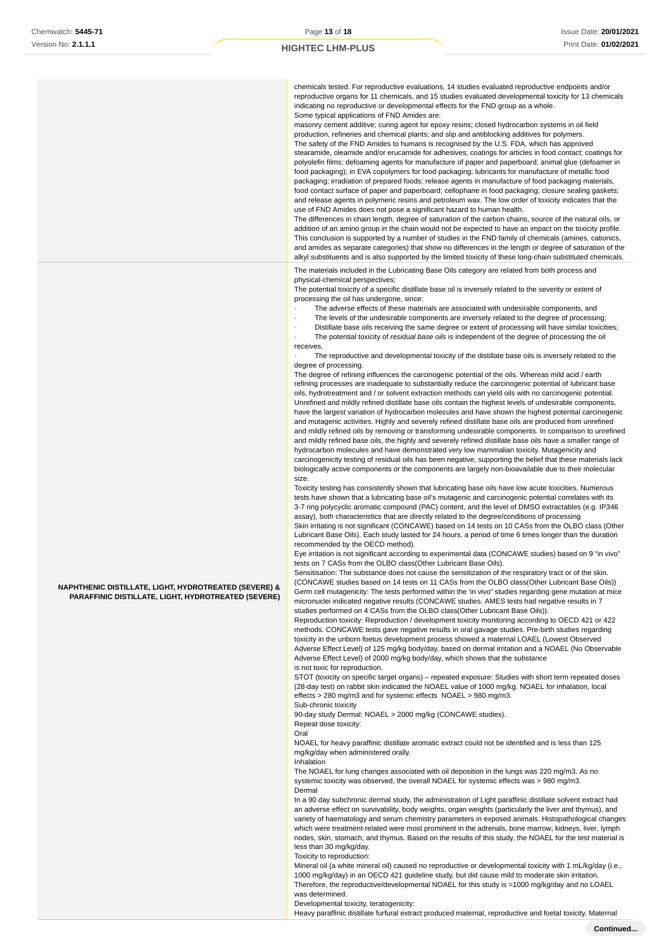chemicals tested. For reproductive evaluations, 14 studies evaluated reproductive endpoints and/or reproductive organs for 11 chemicals, and 15 studies evaluated developmental toxicity for 13 chemicals indicating no reproductive or developmental effects for the FND group as a whole. Some typical applications of FND Amides are:

masonry cement additive; curing agent for epoxy resins; closed hydrocarbon systems in oil field production, refineries and chemical plants; and slip and antiblocking additives for polymers. The safety of the FND Amides to humans is recognised by the U.S. FDA, which has approved stearamide, oleamide and/or erucamide for adhesives; coatings for articles in food contact; coatings for polyolefin films; defoaming agents for manufacture of paper and paperboard; animal glue (defoamer in food packaging); in EVA copolymers for food packaging; lubricants for manufacture of metallic food packaging; irradiation of prepared foods; release agents in manufacture of food packaging materials, food contact surface of paper and paperboard; cellophane in food packaging; closure sealing gaskets; and release agents in polymeric resins and petroleum wax. The low order of toxicity indicates that the use of FND Amides does not pose a significant hazard to human health.

The differences in chain length, degree of saturation of the carbon chains, source of the natural oils, or addition of an amino group in the chain would not be expected to have an impact on the toxicity profile. This conclusion is supported by a number of studies in the FND family of chemicals (amines, cationics, and amides as separate categories) that show no differences in the length or degree of saturation of the alkyl substituents and is also supported by the limited toxicity of these long-chain substituted chemicals.

The materials included in the Lubricating Base Oils category are related from both process and physical-chemical perspectives;

The potential toxicity of a specific distillate base oil is inversely related to the severity or extent of processing the oil has undergone, since:

- The adverse effects of these materials are associated with undesirable components, and
- · The levels of the undesirable components are inversely related to the degree of processing;
	- Distillate base oils receiving the same degree or extent of processing will have similar toxicities; · The potential toxicity of residual base oils is independent of the degree of processing the oil

receives.

The reproductive and developmental toxicity of the distillate base oils is inversely related to the degree of processing.

The degree of refining influences the carcinogenic potential of the oils. Whereas mild acid / earth refining processes are inadequate to substantially reduce the carcinogenic potential of lubricant base oils, hydrotreatment and / or solvent extraction methods can yield oils with no carcinogenic potential. Unrefined and mildly refined distillate base oils contain the highest levels of undesirable components, have the largest variation of hydrocarbon molecules and have shown the highest potential carcinogenic and mutagenic activities. Highly and severely refined distillate base oils are produced from unrefined and mildly refined oils by removing or transforming undesirable components. In comparison to unrefined and mildly refined base oils, the highly and severely refined distillate base oils have a smaller range of hydrocarbon molecules and have demonstrated very low mammalian toxicity. Mutagenicity and carcinogenicity testing of residual oils has been negative, supporting the belief that these materials lack biologically active components or the components are largely non-bioavailable due to their molecular size.

Toxicity testing has consistently shown that lubricating base oils have low acute toxicities. Numerous tests have shown that a lubricating base oil's mutagenic and carcinogenic potential correlates with its 3-7 ring polycyclic aromatic compound (PAC) content, and the level of DMSO extractables (e.g. IP346 assay), both characteristics that are directly related to the degree/conditions of processing Skin irritating is not significant (CONCAWE) based on 14 tests on 10 CASs from the OLBO class (Other Lubricant Base Oils). Each study lasted for 24 hours, a period of time 6 times longer than the duration recommended by the OECD method).

Eye irritation is not significant according to experimental data (CONCAWE studies) based on 9 "in vivo" tests on 7 CASs from the OLBO class(Other Lubricant Base Oils).

Sensitisation: The substance does not cause the sensitization of the respiratory tract or of the skin. (CONCAWE studies based on 14 tests on 11 CASs from the OLBO class(Other Lubricant Base Oils)) Germ cell mutagenicity: The tests performed within the 'in vivo" studies regarding gene mutation at mice micronuclei indicated negative results (CONCAWE studies. AMES tests had negative results in 7 studies performed on 4 CASs from the OLBO class(Other Lubricant Base Oils)).

Reproduction toxicity: Reproduction / development toxicity monitoring according to OECD 421 or 422 methods. CONCAWE tests gave negative results in oral gavage studies. Pre-birth studies regarding toxicity in the unborn foetus development process showed a maternal LOAEL (Lowest Observed Adverse Effect Level) of 125 mg/kg body/day, based on dermal irritation and a NOAEL (No Observable Adverse Effect Level) of 2000 mg/kg body/day, which shows that the substance is not toxic for reproduction.

STOT (toxicity on specific target organs) – repeated exposure: Studies with short term repeated doses (28-day test) on rabbit skin indicated the NOAEL value of 1000 mg/kg. NOAEL for inhalation, local effects > 280 mg/m3 and for systemic effects NOAEL > 980 mg/m3.

Sub-chronic toxicity

90-day study Dermal: NOAEL > 2000 mg/kg (CONCAWE studies).

#### Repeat dose toxicity: Oral

NOAEL for heavy paraffinic distillate aromatic extract could not be identified and is less than 125 mg/kg/day when administered orally.

The NOAEL for lung changes associated with oil deposition in the lungs was 220 mg/m3. As no systemic toxicity was observed, the overall NOAEL for systemic effects was > 980 mg/m3. Dermal

In a 90 day subchronic dermal study, the administration of Light paraffinic distillate solvent extract had an adverse effect on survivability, body weights, organ weights (particularly the liver and thymus), and variety of haematology and serum chemistry parameters in exposed animals. Histopathological changes which were treatment-related were most prominent in the adrenals, bone marrow, kidneys, liver, lymph nodes, skin, stomach, and thymus. Based on the results of this study, the NOAEL for the test material is less than 30 mg/kg/day.

Toxicity to reproduction:

Mineral oil (a white mineral oil) caused no reproductive or developmental toxicity with 1 mL/kg/day (i.e., 1000 mg/kg/day) in an OECD 421 guideline study, but did cause mild to moderate skin irritation. Therefore, the reproductive/developmental NOAEL for this study is =1000 mg/kg/day and no LOAEL was determined.

Developmental toxicity, teratogenicity:

Heavy paraffinic distillate furfural extract produced maternal, reproductive and foetal toxicity. Maternal

**NAPHTHENIC DISTILLATE, LIGHT, HYDROTREATED (SEVERE) & PARAFFINIC DISTILLATE, LIGHT, HYDROTREATED (SEVERE)**

Inhalation

**Continued...**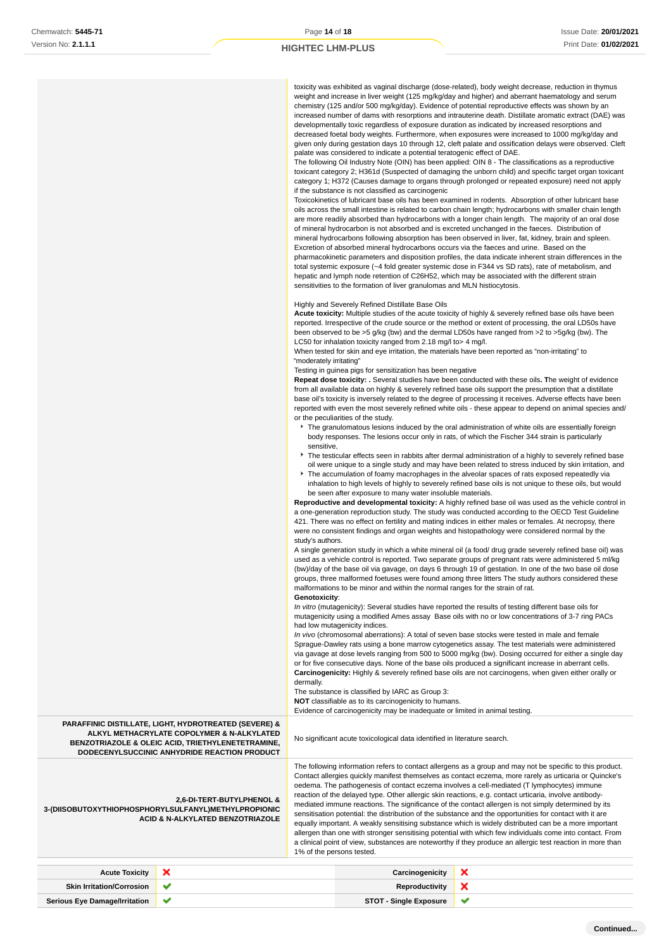toxicity was exhibited as vaginal discharge (dose-related), body weight decrease, reduction in thymus weight and increase in liver weight (125 mg/kg/day and higher) and aberrant haematology and serum chemistry (125 and/or 500 mg/kg/day). Evidence of potential reproductive effects was shown by an increased number of dams with resorptions and intrauterine death. Distillate aromatic extract (DAF) was developmentally toxic regardless of exposure duration as indicated by increased resorptions and decreased foetal body weights. Furthermore, when exposures were increased to 1000 ma/ka/day and given only during gestation days 10 through 12, cleft palate and ossification delays were observed. Cleft palate was considered to indicate a potential teratogenic effect of DAE.

The following Oil Industry Note (OIN) has been applied: OIN 8 - The classifications as a reproductive toxicant category 2; H361d (Suspected of damaging the unborn child) and specific target organ toxicant category 1; H372 (Causes damage to organs through prolonged or repeated exposure) need not apply if the substance is not classified as carcinogenic

Toxicokinetics of lubricant base oils has been examined in rodents. Absorption of other lubricant base oils across the small intestine is related to carbon chain length; hydrocarbons with smaller chain length are more readily absorbed than hydrocarbons with a longer chain length. The majority of an oral dose of mineral hydrocarbon is not absorbed and is excreted unchanged in the faeces. Distribution of mineral hydrocarbons following absorption has been observed in liver, fat, kidney, brain and spleen. Excretion of absorbed mineral hydrocarbons occurs via the faeces and urine. Based on the pharmacokinetic parameters and disposition profiles, the data indicate inherent strain differences in the total systemic exposure (~4 fold greater systemic dose in F344 vs SD rats), rate of metabolism, and hepatic and lymph node retention of C26H52, which may be associated with the different strain sensitivities to the formation of liver granulomas and MLN histiocytosis.

#### Highly and Severely Refined Distillate Base Oils

**Acute toxicity:** Multiple studies of the acute toxicity of highly & severely refined base oils have been reported. Irrespective of the crude source or the method or extent of processing, the oral LD50s have been observed to be >5 g/kg (bw) and the dermal LD50s have ranged from >2 to >5g/kg (bw). The LC50 for inhalation toxicity ranged from 2.18 mg/l to > 4 mg/l.

When tested for skin and eye irritation, the materials have been reported as "non-irritating" to "moderately irritating"

#### Testing in guinea pigs for sensitization has been negative

**Repeat dose toxicity: .** Several studies have been conducted with these oils**. T**he weight of evidence from all available data on highly & severely refined base oils support the presumption that a distillate base oil's toxicity is inversely related to the degree of processing it receives. Adverse effects have been reported with even the most severely refined white oils - these appear to depend on animal species and/ or the peculiarities of the study.

- **The granulomatous lesions induced by the oral administration of white oils are essentially foreign** body responses. The lesions occur only in rats, of which the Fischer 344 strain is particularly sensitive,
- The testicular effects seen in rabbits after dermal administration of a highly to severely refined base oil were unique to a single study and may have been related to stress induced by skin irritation, and
- The accumulation of foamy macrophages in the alveolar spaces of rats exposed repeatedly via inhalation to high levels of highly to severely refined base oils is not unique to these oils, but would be seen after exposure to many water insoluble materials.

**Reproductive and developmental toxicity:** A highly refined base oil was used as the vehicle control in a one-generation reproduction study. The study was conducted according to the OECD Test Guideline 421. There was no effect on fertility and mating indices in either males or females. At necropsy, there were no consistent findings and organ weights and histopathology were considered normal by the study's authors.

A single generation study in which a white mineral oil (a food/ drug grade severely refined base oil) was used as a vehicle control is reported. Two separate groups of pregnant rats were administered 5 ml/kg (bw)/day of the base oil via gavage, on days 6 through 19 of gestation. In one of the two base oil dose groups, three malformed foetuses were found among three litters The study authors considered these malformations to be minor and within the normal ranges for the strain of rat.

#### **Genotoxicity**:

In vitro (mutagenicity): Several studies have reported the results of testing different base oils for mutagenicity using a modified Ames assay Base oils with no or low concentrations of 3-7 ring PACs had low mutagenicity indices.

In vivo (chromosomal aberrations): A total of seven base stocks were tested in male and female Sprague-Dawley rats using a bone marrow cytogenetics assay. The test materials were administered via gavage at dose levels ranging from 500 to 5000 mg/kg (bw). Dosing occurred for either a single day or for five consecutive days. None of the base oils produced a significant increase in aberrant cells. **Carcinogenicity:** Highly & severely refined base oils are not carcinogens, when given either orally or dermally.

The substance is classified by IARC as Group 3:

**NOT** classifiable as to its carcinogenicity to humans.

Evidence of carcinogenicity may be inadequate or limited in animal testing.

**ALKYL METHACRYLATE COPOLYMER & N-ALKYLATED BENZOTRIAZOLE & OLEIC ACID, TRIETHYLENETETRAMINE,** No significant acute toxicological data identified in literature search.

**PARAFFINIC DISTILLATE, LIGHT, HYDROTREATED (SEVERE) &**

**DODECENYLSUCCINIC ANHYDRIDE REACTION PRODUCT**

**2,6-DI-TERT-BUTYLPHENOL &**

**3-(DIISOBUTOXYTHIOPHOSPHORYLSULFANYL)METHYLPROPIONIC ACID & N-ALKYLATED BENZOTRIAZOLE** The following information refers to contact allergens as a group and may not be specific to this product. Contact allergies quickly manifest themselves as contact eczema, more rarely as urticaria or Quincke's oedema. The pathogenesis of contact eczema involves a cell-mediated (T lymphocytes) immune reaction of the delayed type. Other allergic skin reactions, e.g. contact urticaria, involve antibodymediated immune reactions. The significance of the contact allergen is not simply determined by its sensitisation potential: the distribution of the substance and the opportunities for contact with it are equally important. A weakly sensitising substance which is widely distributed can be a more important allergen than one with stronger sensitising potential with which few individuals come into contact. From a clinical point of view, substances are noteworthy if they produce an allergic test reaction in more than 1% of the persons tested.

| <b>Acute Toxicity</b>                | $\sim$ | Carcinogenicity               | $\tilde{\phantom{a}}$ |
|--------------------------------------|--------|-------------------------------|-----------------------|
| <b>Skin Irritation/Corrosion</b>     |        | Reproductivity                |                       |
| <b>Serious Eye Damage/Irritation</b> |        | <b>STOT - Single Exposure</b> | <b>Address</b>        |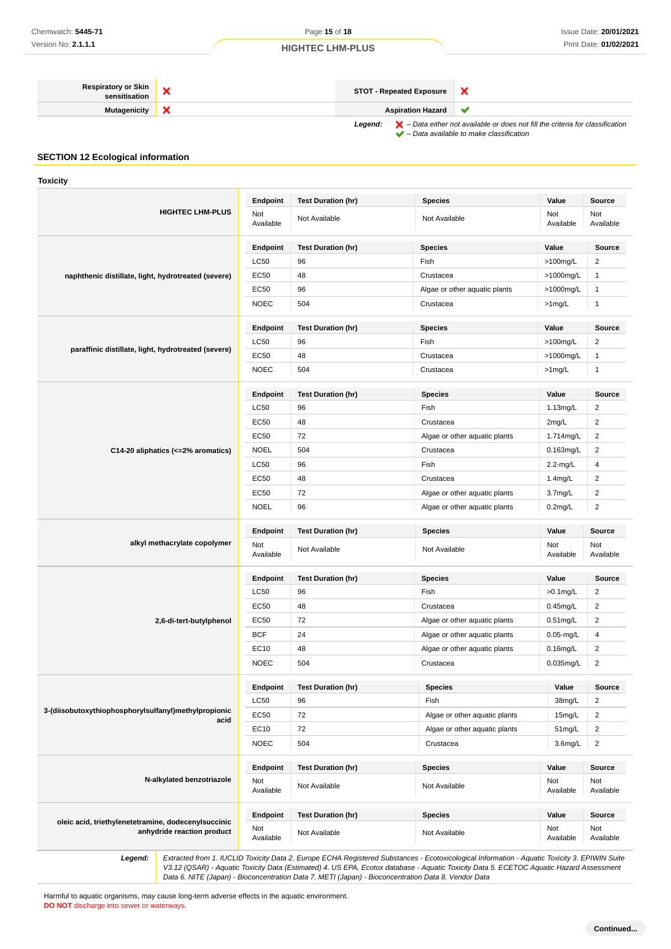#### **Respiratory or Skin x** STOT - Repeated Exposure  $\boldsymbol{\mathsf{x}}$ **Mutagenicity X Aspiration Hazard** Ý

**Legend:**  $\mathbf{X}$  – Data either not available or does not fill the criteria for classification

– Data available to make classification

#### **SECTION 12 Ecological information**

| <b>Toxicity</b>                                                                   |                  |                           |                               |                  |                  |
|-----------------------------------------------------------------------------------|------------------|---------------------------|-------------------------------|------------------|------------------|
|                                                                                   | Endpoint         | <b>Test Duration (hr)</b> | <b>Species</b>                | Value            | <b>Source</b>    |
| <b>HIGHTEC LHM-PLUS</b>                                                           | Not<br>Available | Not Available             | Not Available                 | Not<br>Available | Not<br>Available |
|                                                                                   | Endpoint         | <b>Test Duration (hr)</b> | <b>Species</b>                | Value            | Source           |
|                                                                                   | LC50             | 96                        | Fish                          | >100mg/L         | $\overline{2}$   |
| naphthenic distillate, light, hydrotreated (severe)                               | EC50             | 48                        | Crustacea                     | >1000mg/L        | $\mathbf{1}$     |
|                                                                                   | EC50             | 96                        | Algae or other aquatic plants | >1000mg/L        | $\mathbf{1}$     |
|                                                                                   | <b>NOEC</b>      | 504                       | Crustacea                     | $>1$ mg/L        | $\mathbf{1}$     |
|                                                                                   | Endpoint         | <b>Test Duration (hr)</b> | <b>Species</b>                | Value            | <b>Source</b>    |
|                                                                                   | <b>LC50</b>      | 96                        | Fish                          | >100mg/L         | $\overline{2}$   |
| paraffinic distillate, light, hydrotreated (severe)                               | EC50             | 48                        | Crustacea                     | >1000mg/L        | $\mathbf{1}$     |
|                                                                                   | <b>NOEC</b>      | 504                       | Crustacea                     | >1mg/L           | $\mathbf{1}$     |
|                                                                                   | Endpoint         | <b>Test Duration (hr)</b> | <b>Species</b>                | Value            | <b>Source</b>    |
|                                                                                   | <b>LC50</b>      | 96                        | Fish                          | 1.13mg/L         | $\overline{c}$   |
|                                                                                   | EC50             | 48                        | Crustacea                     | 2mg/L            | $\overline{2}$   |
|                                                                                   | EC50             | 72                        | Algae or other aquatic plants | 1.714mg/L        | 2                |
| C14-20 aliphatics (<=2% aromatics)                                                | <b>NOEL</b>      | 504                       | Crustacea                     | 0.163mg/L        | $\overline{2}$   |
|                                                                                   | LC50             | 96                        | Fish                          | 2.2-mg/L         | 4                |
|                                                                                   | <b>EC50</b>      | 48                        | Crustacea                     | $1.4$ mg/L       | $\overline{2}$   |
|                                                                                   | EC50             | 72                        | Algae or other aquatic plants | 3.7mg/L          | $\overline{2}$   |
|                                                                                   | <b>NOEL</b>      | 96                        | Algae or other aquatic plants | $0.2$ mg/L       | $\overline{2}$   |
|                                                                                   | Endpoint         | <b>Test Duration (hr)</b> | <b>Species</b>                | Value            | <b>Source</b>    |
| alkyl methacrylate copolymer                                                      | Not<br>Available | Not Available             | Not Available                 | Not<br>Available | Not<br>Available |
|                                                                                   | Endpoint         | <b>Test Duration (hr)</b> | <b>Species</b>                | Value            | <b>Source</b>    |
|                                                                                   | LC50             | 96                        | Fish                          | $>0.1$ mg/L      | $\overline{2}$   |
|                                                                                   | EC50             | 48                        | Crustacea                     | $0.45$ mg/L      | $\overline{c}$   |
| 2,6-di-tert-butylphenol                                                           | EC50             | 72                        | Algae or other aquatic plants | $0.51$ mg/L      | $\overline{c}$   |
|                                                                                   | <b>BCF</b>       | 24                        | Algae or other aquatic plants | $0.05$ -mg/L     | 4                |
|                                                                                   | EC10             | 48                        | Algae or other aquatic plants | $0.16$ mg/L      | $\overline{2}$   |
|                                                                                   | <b>NOEC</b>      | 504                       | Crustacea                     | 0.035mg/L        | $\overline{c}$   |
|                                                                                   | Endpoint         | <b>Test Duration (hr)</b> | <b>Species</b>                | Value            | Source           |
|                                                                                   | LC50             | 96                        | Fish                          | 38mg/L           | $\overline{2}$   |
| 3-(diisobutoxythiophosphorylsulfanyl)methylpropionic<br>acid                      | EC50             | 72                        | Algae or other aquatic plants | 15mg/L           | $\overline{2}$   |
|                                                                                   | EC10             | 72                        | Algae or other aquatic plants | 51mg/L           | $\overline{c}$   |
|                                                                                   | <b>NOEC</b>      | 504                       | Crustacea                     | $3.6$ mg/L       | $\overline{c}$   |
|                                                                                   | Endpoint         | <b>Test Duration (hr)</b> | <b>Species</b>                | Value            | Source           |
| N-alkylated benzotriazole                                                         | Not<br>Available | Not Available             | Not Available                 | Not<br>Available | Not<br>Available |
|                                                                                   | Endpoint         | <b>Test Duration (hr)</b> | <b>Species</b>                | Value            | Source           |
| oleic acid, triethylenetetramine, dodecenylsuccinic<br>anhydride reaction product | Not<br>Available | Not Available             | Not Available                 | Not<br>Available | Not<br>Available |

**Legend:** Extracted from 1. IUCLID Toxicity Data 2. Europe ECHA Registered Substances - Ecotoxicological Information - Aquatic Toxicity 3. EPIWIN Suite V3.12 (QSAR) - Aquatic Toxicity Data (Estimated) 4. US EPA, Ecotox database - Aquatic Toxicity Data 5. ECETOC Aquatic Hazard Assessment Data 6. NITE (Japan) - Bioconcentration Data 7. METI (Japan) - Bioconcentration Data 8. Vendor Data

Harmful to aquatic organisms, may cause long-term adverse effects in the aquatic environment. **DO NOT** discharge into sewer or waterways.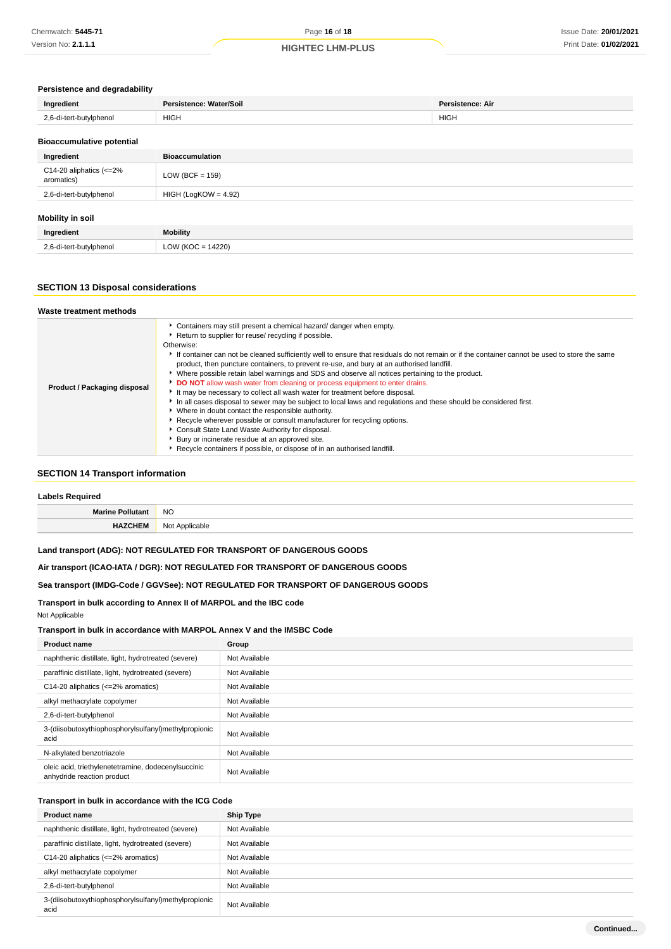#### **Persistence and degradability**

| Ingredient                       | Persistence: Water/Soil | Persistence: Air |
|----------------------------------|-------------------------|------------------|
| 2,6-di-tert-butylphenol          | <b>HIGH</b>             | <b>HIGH</b>      |
| <b>Bioaccumulative potential</b> |                         |                  |

| Ingredient                                            | <b>Bioaccumulation</b> |
|-------------------------------------------------------|------------------------|
| C14-20 aliphatics $\left( <=2\right)$ %<br>aromatics) | LOW (BCF = $159$ )     |
| 2,6-di-tert-butylphenol                               | $HIGH (LogKOW = 4.92)$ |
| Mobility in soil                                      |                        |
| Ingredient                                            | <b>Mobility</b>        |

#### **SECTION 13 Disposal considerations**

2,6-di-tert-butylphenol LOW (KOC = 14220)

#### **Waste treatment methods**

| Product / Packaging disposal | Containers may still present a chemical hazard/ danger when empty.<br>▶ Return to supplier for reuse/ recycling if possible.<br>Otherwise:<br>If container can not be cleaned sufficiently well to ensure that residuals do not remain or if the container cannot be used to store the same<br>product, then puncture containers, to prevent re-use, and bury at an authorised landfill.<br>▶ Where possible retain label warnings and SDS and observe all notices pertaining to the product.<br>DO NOT allow wash water from cleaning or process equipment to enter drains.<br>It may be necessary to collect all wash water for treatment before disposal.<br>In all cases disposal to sewer may be subject to local laws and regulations and these should be considered first.<br>• Where in doubt contact the responsible authority.<br>▶ Recycle wherever possible or consult manufacturer for recycling options.<br>Consult State Land Waste Authority for disposal.<br>Bury or incinerate residue at an approved site.<br>Recycle containers if possible, or dispose of in an authorised landfill. |
|------------------------------|-----------------------------------------------------------------------------------------------------------------------------------------------------------------------------------------------------------------------------------------------------------------------------------------------------------------------------------------------------------------------------------------------------------------------------------------------------------------------------------------------------------------------------------------------------------------------------------------------------------------------------------------------------------------------------------------------------------------------------------------------------------------------------------------------------------------------------------------------------------------------------------------------------------------------------------------------------------------------------------------------------------------------------------------------------------------------------------------------------------|

### **SECTION 14 Transport information**

| <b>Labels Required</b>  |                |  |  |
|-------------------------|----------------|--|--|
| <b>Marine Pollutant</b> | <b>NO</b>      |  |  |
| <b>HAZCHEM</b>          | Not Applicable |  |  |

#### **Land transport (ADG): NOT REGULATED FOR TRANSPORT OF DANGEROUS GOODS**

**Air transport (ICAO-IATA / DGR): NOT REGULATED FOR TRANSPORT OF DANGEROUS GOODS**

### **Sea transport (IMDG-Code / GGVSee): NOT REGULATED FOR TRANSPORT OF DANGEROUS GOODS**

### **Transport in bulk according to Annex II of MARPOL and the IBC code**

### Not Applicable

#### **Transport in bulk in accordance with MARPOL Annex V and the IMSBC Code**

| <b>Product name</b>                                                               | Group         |
|-----------------------------------------------------------------------------------|---------------|
| naphthenic distillate, light, hydrotreated (severe)                               | Not Available |
| paraffinic distillate, light, hydrotreated (severe)                               | Not Available |
| C14-20 aliphatics (<=2% aromatics)                                                | Not Available |
| alkyl methacrylate copolymer                                                      | Not Available |
| 2,6-di-tert-butylphenol                                                           | Not Available |
| 3-(diisobutoxythiophosphorylsulfanyl)methylpropionic<br>acid                      | Not Available |
| N-alkylated benzotriazole                                                         | Not Available |
| oleic acid, triethylenetetramine, dodecenylsuccinic<br>anhydride reaction product | Not Available |

### **Transport in bulk in accordance with the ICG Code**

| <b>Product name</b>                                          | <b>Ship Type</b> |
|--------------------------------------------------------------|------------------|
| naphthenic distillate, light, hydrotreated (severe)          | Not Available    |
| paraffinic distillate, light, hydrotreated (severe)          | Not Available    |
| $C14-20$ aliphatics $\left\langle \leftarrow 2\%$ aromatics) | Not Available    |
| alkyl methacrylate copolymer                                 | Not Available    |
| 2,6-di-tert-butylphenol                                      | Not Available    |
| 3-(diisobutoxythiophosphorylsulfanyl)methylpropionic<br>acid | Not Available    |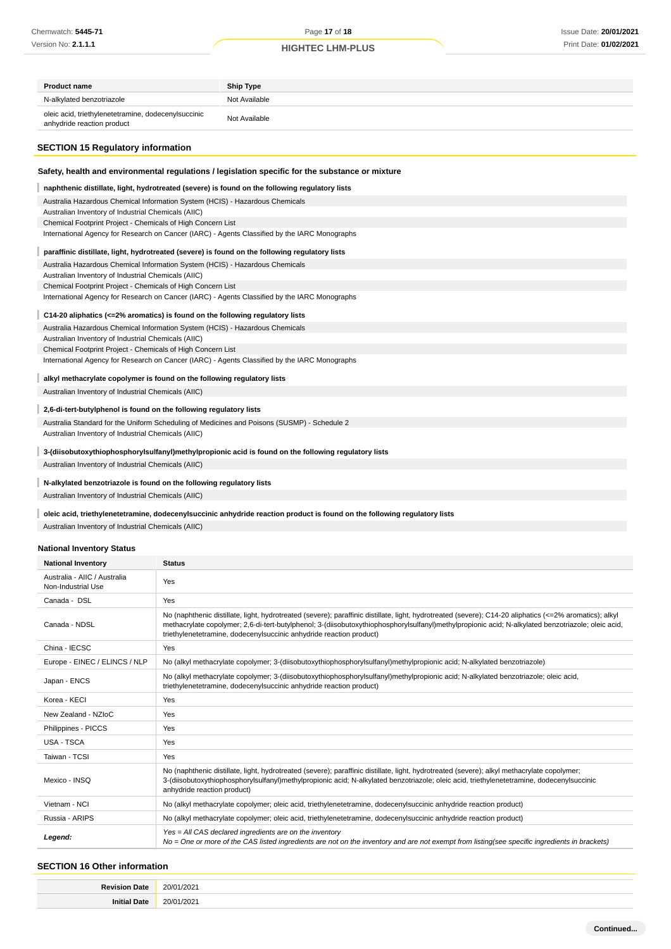| <b>Product name</b>                                                                                                       |                                                     | <b>Ship Type</b>                                                                                 |  |
|---------------------------------------------------------------------------------------------------------------------------|-----------------------------------------------------|--------------------------------------------------------------------------------------------------|--|
| N-alkylated benzotriazole                                                                                                 |                                                     | Not Available                                                                                    |  |
| oleic acid, triethylenetetramine, dodecenylsuccinic<br>anhydride reaction product                                         |                                                     | Not Available                                                                                    |  |
| <b>SECTION 15 Regulatory information</b>                                                                                  |                                                     |                                                                                                  |  |
|                                                                                                                           |                                                     | Safety, health and environmental regulations / legislation specific for the substance or mixture |  |
|                                                                                                                           |                                                     | naphthenic distillate, light, hydrotreated (severe) is found on the following regulatory lists   |  |
| Australia Hazardous Chemical Information System (HCIS) - Hazardous Chemicals                                              |                                                     |                                                                                                  |  |
| Australian Inventory of Industrial Chemicals (AIIC)                                                                       |                                                     |                                                                                                  |  |
| Chemical Footprint Project - Chemicals of High Concern List                                                               |                                                     |                                                                                                  |  |
|                                                                                                                           |                                                     | International Agency for Research on Cancer (IARC) - Agents Classified by the IARC Monographs    |  |
|                                                                                                                           |                                                     | paraffinic distillate, light, hydrotreated (severe) is found on the following regulatory lists   |  |
| Australia Hazardous Chemical Information System (HCIS) - Hazardous Chemicals                                              |                                                     |                                                                                                  |  |
| Australian Inventory of Industrial Chemicals (AIIC)                                                                       |                                                     |                                                                                                  |  |
| Chemical Footprint Project - Chemicals of High Concern List                                                               |                                                     |                                                                                                  |  |
|                                                                                                                           |                                                     | International Agency for Research on Cancer (IARC) - Agents Classified by the IARC Monographs    |  |
| C14-20 aliphatics (<=2% aromatics) is found on the following regulatory lists                                             |                                                     |                                                                                                  |  |
| Australia Hazardous Chemical Information System (HCIS) - Hazardous Chemicals                                              |                                                     |                                                                                                  |  |
|                                                                                                                           | Australian Inventory of Industrial Chemicals (AIIC) |                                                                                                  |  |
| Chemical Footprint Project - Chemicals of High Concern List                                                               |                                                     |                                                                                                  |  |
| International Agency for Research on Cancer (IARC) - Agents Classified by the IARC Monographs                             |                                                     |                                                                                                  |  |
| alkyl methacrylate copolymer is found on the following regulatory lists                                                   |                                                     |                                                                                                  |  |
| Australian Inventory of Industrial Chemicals (AIIC)                                                                       |                                                     |                                                                                                  |  |
|                                                                                                                           |                                                     |                                                                                                  |  |
| 2,6-di-tert-butylphenol is found on the following regulatory lists                                                        |                                                     |                                                                                                  |  |
|                                                                                                                           |                                                     | Australia Standard for the Uniform Scheduling of Medicines and Poisons (SUSMP) - Schedule 2      |  |
|                                                                                                                           | Australian Inventory of Industrial Chemicals (AIIC) |                                                                                                  |  |
| 3-(diisobutoxythiophosphorylsulfanyl)methylpropionic acid is found on the following regulatory lists                      |                                                     |                                                                                                  |  |
| Australian Inventory of Industrial Chemicals (AIIC)                                                                       |                                                     |                                                                                                  |  |
|                                                                                                                           |                                                     |                                                                                                  |  |
| N-alkylated benzotriazole is found on the following regulatory lists                                                      |                                                     |                                                                                                  |  |
| Australian Inventory of Industrial Chemicals (AIIC)                                                                       |                                                     |                                                                                                  |  |
| oleic acid, triethylenetetramine, dodecenylsuccinic anhydride reaction product is found on the following regulatory lists |                                                     |                                                                                                  |  |
| Australian Inventory of Industrial Chemicals (AIIC)                                                                       |                                                     |                                                                                                  |  |
| <b>National Inventory Status</b>                                                                                          |                                                     |                                                                                                  |  |
| <b>National Inventory</b>                                                                                                 | <b>Status</b>                                       |                                                                                                  |  |
|                                                                                                                           |                                                     |                                                                                                  |  |
| Australia - AIIC / Australia<br>Non-Industrial Use                                                                        | Yes                                                 |                                                                                                  |  |
| Canada - DSL                                                                                                              | Yes                                                 |                                                                                                  |  |

| Canada - DSL                  | Yes                                                                                                                                                                                                                                                                                                                                                                                  |  |  |
|-------------------------------|--------------------------------------------------------------------------------------------------------------------------------------------------------------------------------------------------------------------------------------------------------------------------------------------------------------------------------------------------------------------------------------|--|--|
| Canada - NDSL                 | No (naphthenic distillate, light, hydrotreated (severe); paraffinic distillate, light, hydrotreated (severe); C14-20 aliphatics (<=2% aromatics); alkyl<br>methacrylate copolymer; 2,6-di-tert-butylphenol; 3-(diisobutoxythiophosphorylsulfanyl)methylpropionic acid; N-alkylated benzotriazole; oleic acid,<br>triethylenetetramine, dodecenylsuccinic anhydride reaction product) |  |  |
| China - IECSC                 | Yes                                                                                                                                                                                                                                                                                                                                                                                  |  |  |
| Europe - EINEC / ELINCS / NLP | No (alkyl methacrylate copolymer; 3-(diisobutoxythiophosphorylsulfanyl)methylpropionic acid; N-alkylated benzotriazole)                                                                                                                                                                                                                                                              |  |  |
| Japan - ENCS                  | No (alkyl methacrylate copolymer; 3-(diisobutoxythiophosphorylsulfanyl)methylpropionic acid; N-alkylated benzotriazole; oleic acid,<br>triethylenetetramine, dodecenylsuccinic anhydride reaction product)                                                                                                                                                                           |  |  |
| Korea - KECI                  | Yes                                                                                                                                                                                                                                                                                                                                                                                  |  |  |
| New Zealand - NZIoC           | Yes                                                                                                                                                                                                                                                                                                                                                                                  |  |  |
| Philippines - PICCS           | Yes                                                                                                                                                                                                                                                                                                                                                                                  |  |  |
| USA - TSCA                    | Yes                                                                                                                                                                                                                                                                                                                                                                                  |  |  |
| Taiwan - TCSI                 | Yes                                                                                                                                                                                                                                                                                                                                                                                  |  |  |
| Mexico - INSQ                 | No (naphthenic distillate, light, hydrotreated (severe); paraffinic distillate, light, hydrotreated (severe); alkyl methacrylate copolymer;<br>3-(diisobutoxythiophosphorylsulfanyl)methylpropionic acid; N-alkylated benzotriazole; oleic acid, triethylenetetramine, dodecenylsuccinic<br>anhydride reaction product)                                                              |  |  |
| Vietnam - NCI                 | No (alkyl methacrylate copolymer; oleic acid, triethylenetetramine, dodecenylsuccinic anhydride reaction product)                                                                                                                                                                                                                                                                    |  |  |
| Russia - ARIPS                | No (alkyl methacrylate copolymer; oleic acid, triethylenetetramine, dodecenylsuccinic anhydride reaction product)                                                                                                                                                                                                                                                                    |  |  |
| Legend:                       | $Yes = All CAS$ declared ingredients are on the inventory<br>No = One or more of the CAS listed ingredients are not on the inventory and are not exempt from listing(see specific ingredients in brackets)                                                                                                                                                                           |  |  |

### **SECTION 16 Other information**

| ∍∽ | 1/202 <sup>4</sup><br>$20/0^3$<br>. |
|----|-------------------------------------|
|    | 1/202 <sup>4</sup><br>20/01         |